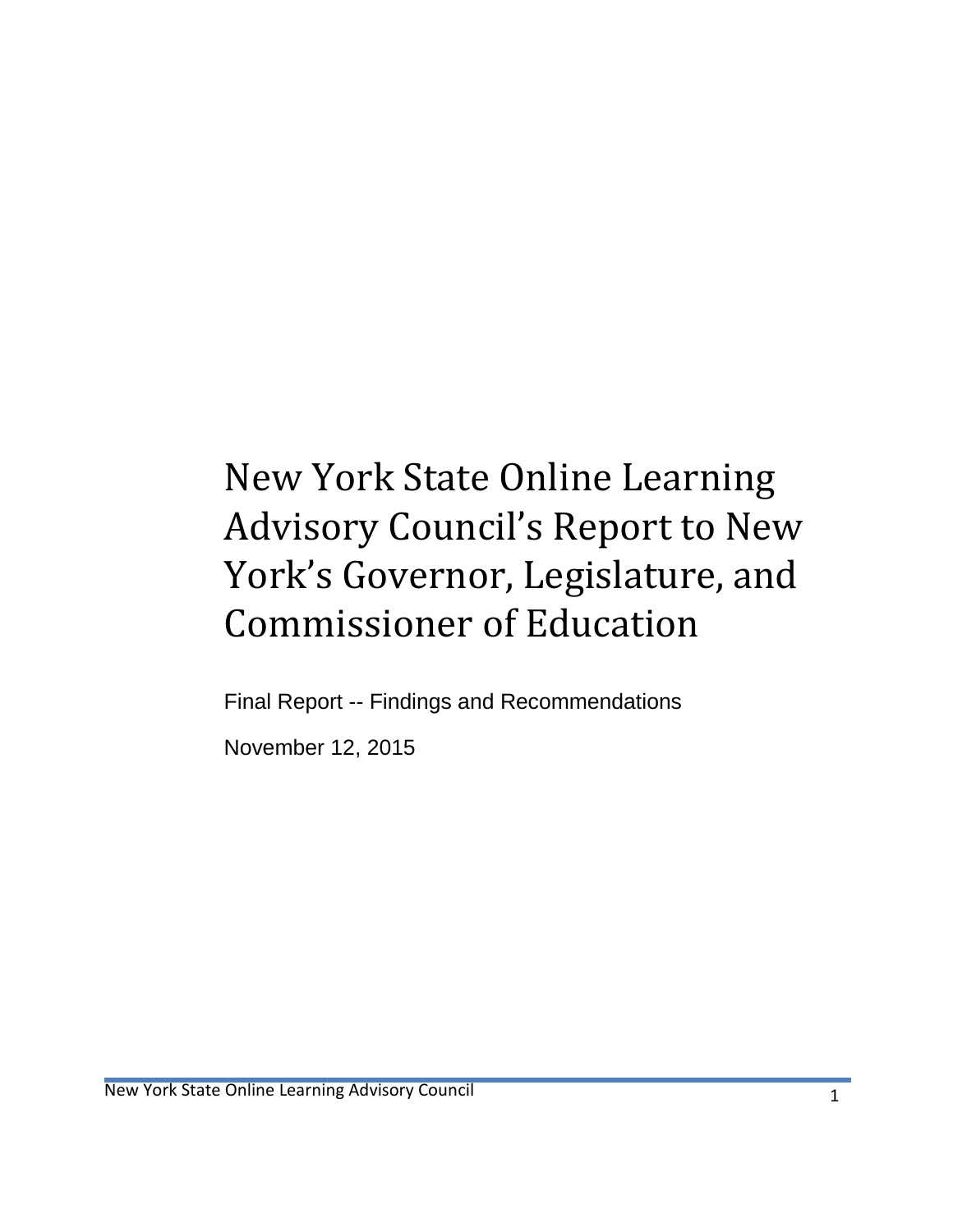# New York State Online Learning Advisory Council's Report to New York's Governor, Legislature, and Commissioner of Education

Final Report -- Findings and Recommendations

November 12, 2015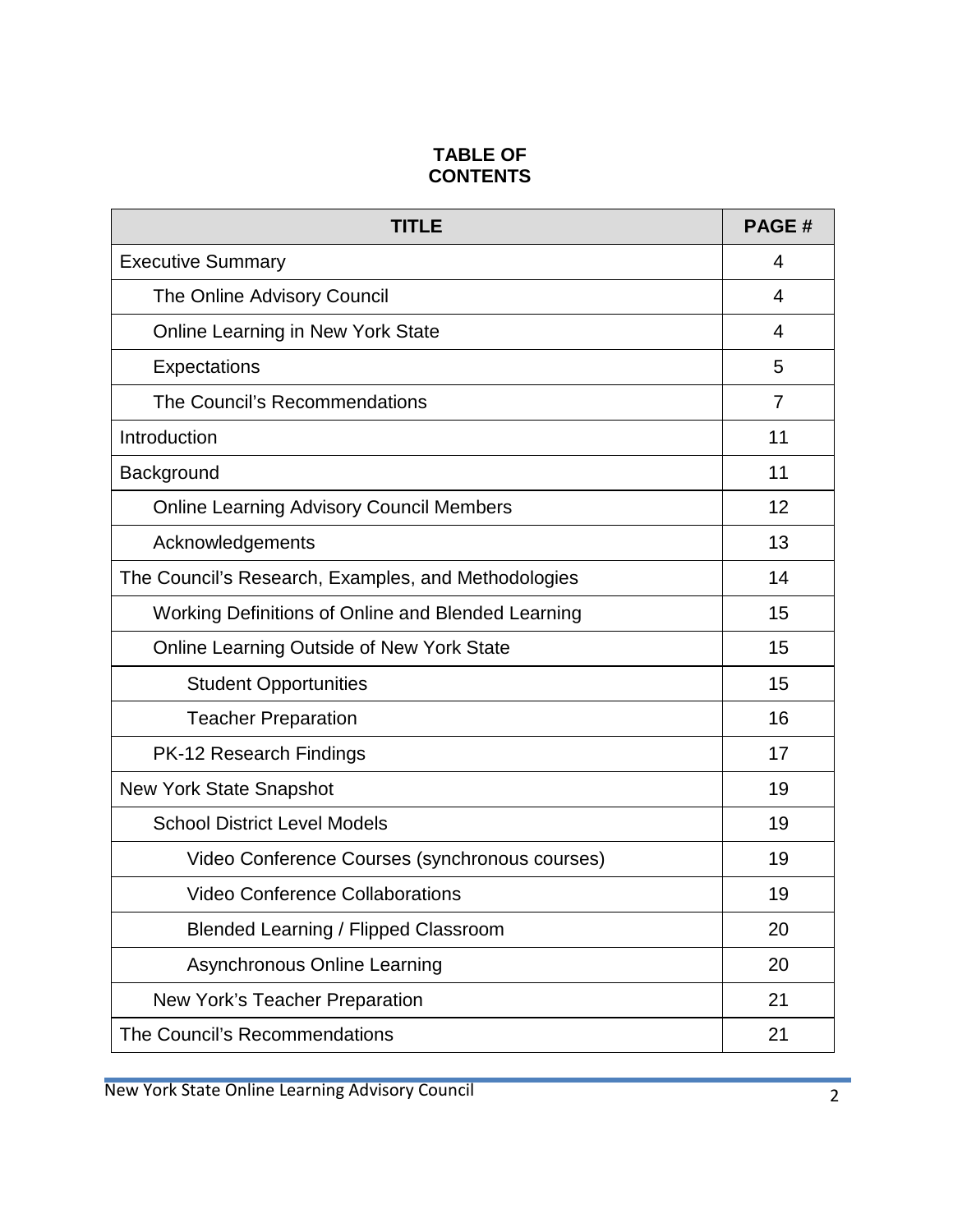## **TABLE OF CONTENTS**

| TITLE                                               | <b>PAGE#</b>   |
|-----------------------------------------------------|----------------|
| <b>Executive Summary</b>                            | 4              |
| The Online Advisory Council                         | 4              |
| <b>Online Learning in New York State</b>            | $\overline{4}$ |
| Expectations                                        | 5              |
| The Council's Recommendations                       | 7              |
| Introduction                                        | 11             |
| Background                                          | 11             |
| <b>Online Learning Advisory Council Members</b>     | 12             |
| Acknowledgements                                    | 13             |
| The Council's Research, Examples, and Methodologies | 14             |
| Working Definitions of Online and Blended Learning  | 15             |
| <b>Online Learning Outside of New York State</b>    | 15             |
| <b>Student Opportunities</b>                        | 15             |
| <b>Teacher Preparation</b>                          | 16             |
| <b>PK-12 Research Findings</b>                      | 17             |
| <b>New York State Snapshot</b>                      | 19             |
| <b>School District Level Models</b>                 | 19             |
| Video Conference Courses (synchronous courses)      | 19             |
| <b>Video Conference Collaborations</b>              | 19             |
| <b>Blended Learning / Flipped Classroom</b>         | 20             |
| <b>Asynchronous Online Learning</b>                 | 20             |
| New York's Teacher Preparation                      | 21             |
| The Council's Recommendations                       | 21             |

New York State Online Learning Advisory Council 2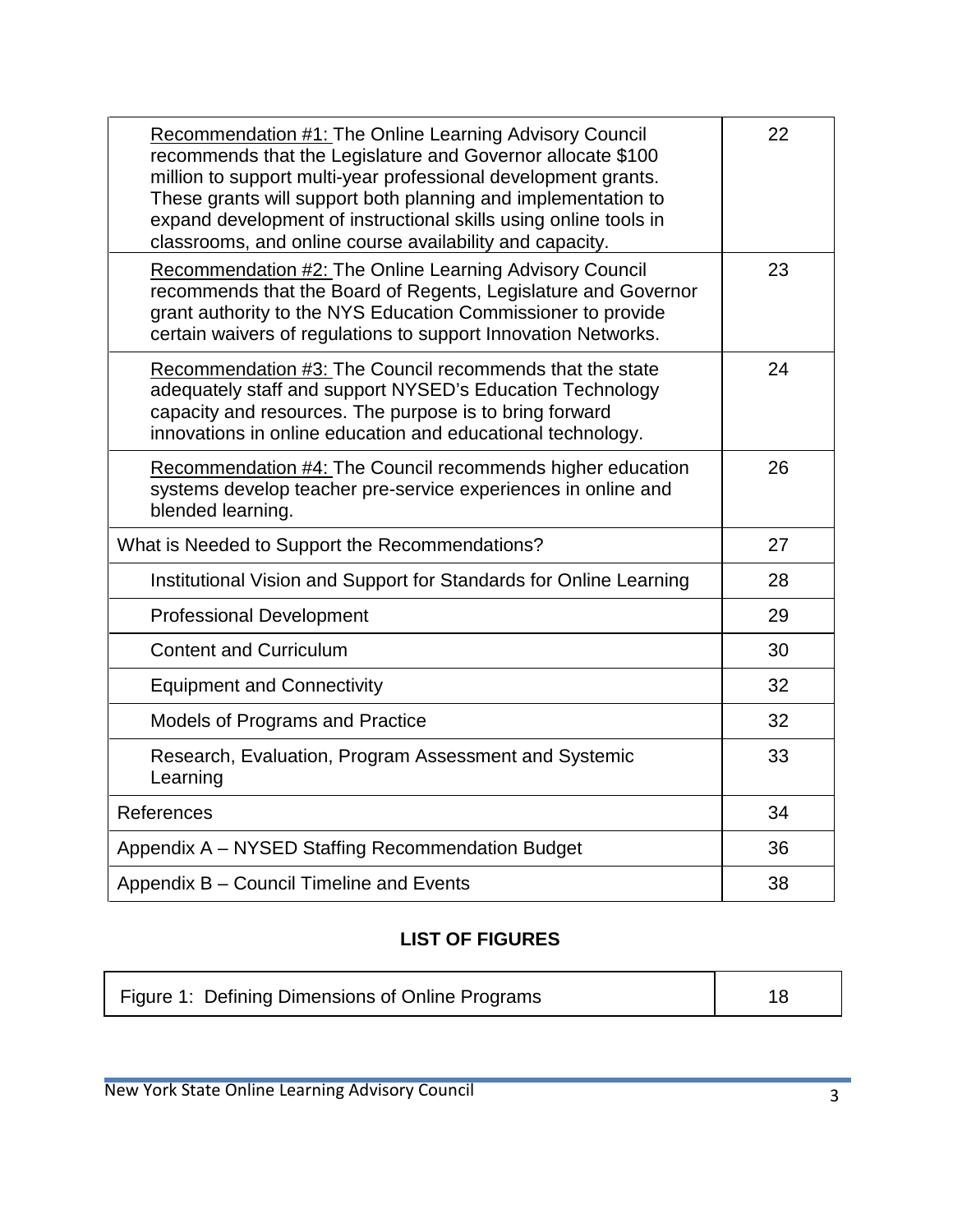| <b>Recommendation #1: The Online Learning Advisory Council</b><br>recommends that the Legislature and Governor allocate \$100<br>million to support multi-year professional development grants.<br>These grants will support both planning and implementation to<br>expand development of instructional skills using online tools in<br>classrooms, and online course availability and capacity. | 22 |
|--------------------------------------------------------------------------------------------------------------------------------------------------------------------------------------------------------------------------------------------------------------------------------------------------------------------------------------------------------------------------------------------------|----|
| Recommendation #2: The Online Learning Advisory Council<br>recommends that the Board of Regents, Legislature and Governor<br>grant authority to the NYS Education Commissioner to provide<br>certain waivers of regulations to support Innovation Networks.                                                                                                                                      | 23 |
| Recommendation #3: The Council recommends that the state<br>adequately staff and support NYSED's Education Technology<br>capacity and resources. The purpose is to bring forward<br>innovations in online education and educational technology.                                                                                                                                                  | 24 |
| Recommendation #4: The Council recommends higher education<br>systems develop teacher pre-service experiences in online and<br>blended learning.                                                                                                                                                                                                                                                 | 26 |
| What is Needed to Support the Recommendations?                                                                                                                                                                                                                                                                                                                                                   | 27 |
| Institutional Vision and Support for Standards for Online Learning                                                                                                                                                                                                                                                                                                                               | 28 |
| <b>Professional Development</b>                                                                                                                                                                                                                                                                                                                                                                  | 29 |
| <b>Content and Curriculum</b>                                                                                                                                                                                                                                                                                                                                                                    | 30 |
| <b>Equipment and Connectivity</b>                                                                                                                                                                                                                                                                                                                                                                | 32 |
| Models of Programs and Practice                                                                                                                                                                                                                                                                                                                                                                  | 32 |
| Research, Evaluation, Program Assessment and Systemic<br>Learning                                                                                                                                                                                                                                                                                                                                | 33 |
| References                                                                                                                                                                                                                                                                                                                                                                                       | 34 |
| Appendix A - NYSED Staffing Recommendation Budget                                                                                                                                                                                                                                                                                                                                                | 36 |
| Appendix B - Council Timeline and Events                                                                                                                                                                                                                                                                                                                                                         | 38 |

# **LIST OF FIGURES**

| Figure 1: Defining Dimensions of Online Programs |  |
|--------------------------------------------------|--|
|                                                  |  |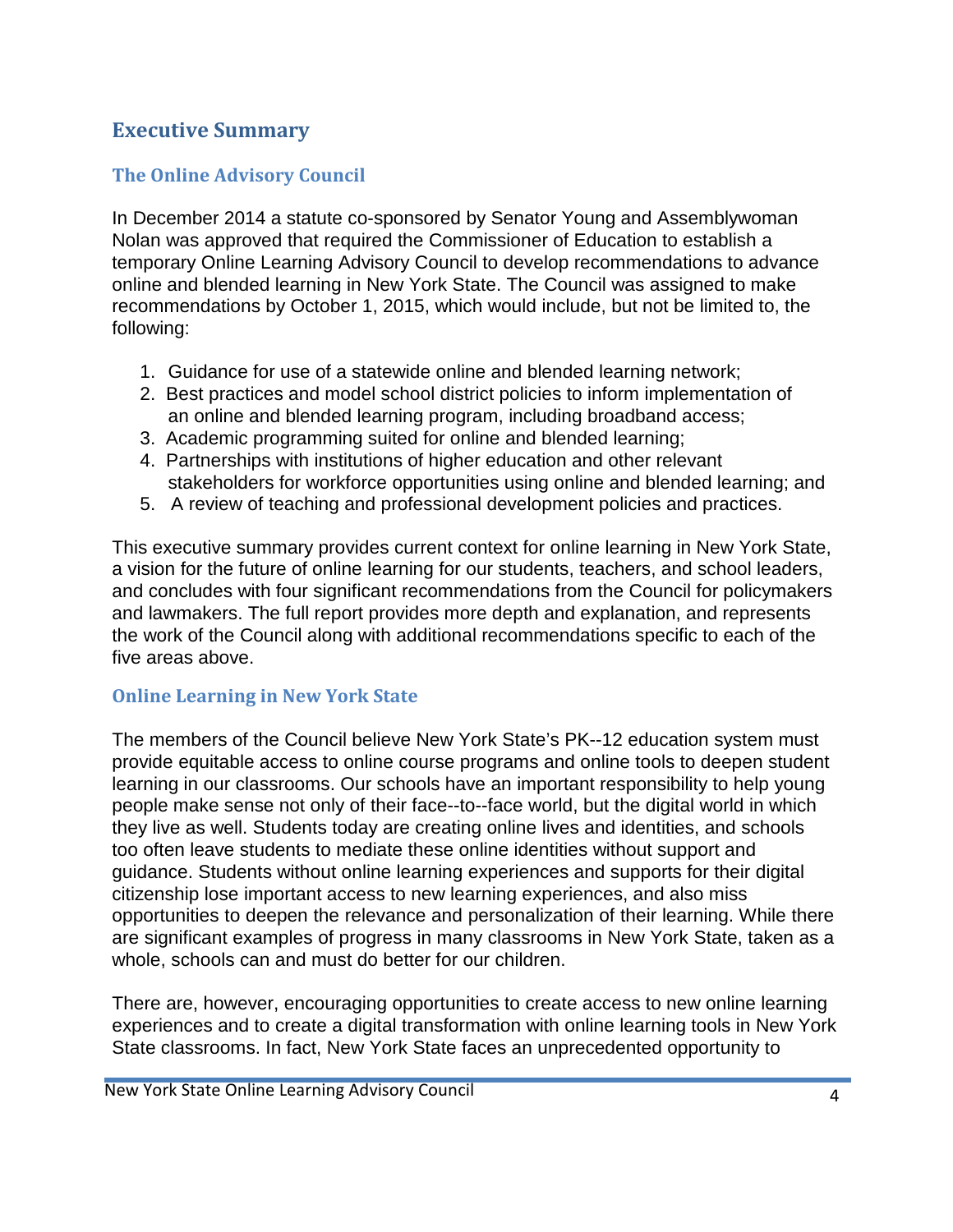# **Executive Summary**

# **The Online Advisory Council**

In December 2014 a statute co-sponsored by Senator Young and Assemblywoman Nolan was approved that required the Commissioner of Education to establish a temporary Online Learning Advisory Council to develop recommendations to advance online and blended learning in New York State. The Council was assigned to make recommendations by October 1, 2015, which would include, but not be limited to, the following:

- 1. Guidance for use of a statewide online and blended learning network;
- 2. Best practices and model school district policies to inform implementation of an online and blended learning program, including broadband access;
- 3. Academic programming suited for online and blended learning;
- 4. Partnerships with institutions of higher education and other relevant stakeholders for workforce opportunities using online and blended learning; and
- 5. A review of teaching and professional development policies and practices.

This executive summary provides current context for online learning in New York State, a vision for the future of online learning for our students, teachers, and school leaders, and concludes with four significant recommendations from the Council for policymakers and lawmakers. The full report provides more depth and explanation, and represents the work of the Council along with additional recommendations specific to each of the five areas above.

### **Online Learning in New York State**

The members of the Council believe New York State's PK--12 education system must provide equitable access to online course programs and online tools to deepen student learning in our classrooms. Our schools have an important responsibility to help young people make sense not only of their face--to--face world, but the digital world in which they live as well. Students today are creating online lives and identities, and schools too often leave students to mediate these online identities without support and guidance. Students without online learning experiences and supports for their digital citizenship lose important access to new learning experiences, and also miss opportunities to deepen the relevance and personalization of their learning. While there are significant examples of progress in many classrooms in New York State, taken as a whole, schools can and must do better for our children.

There are, however, encouraging opportunities to create access to new online learning experiences and to create a digital transformation with online learning tools in New York State classrooms. In fact, New York State faces an unprecedented opportunity to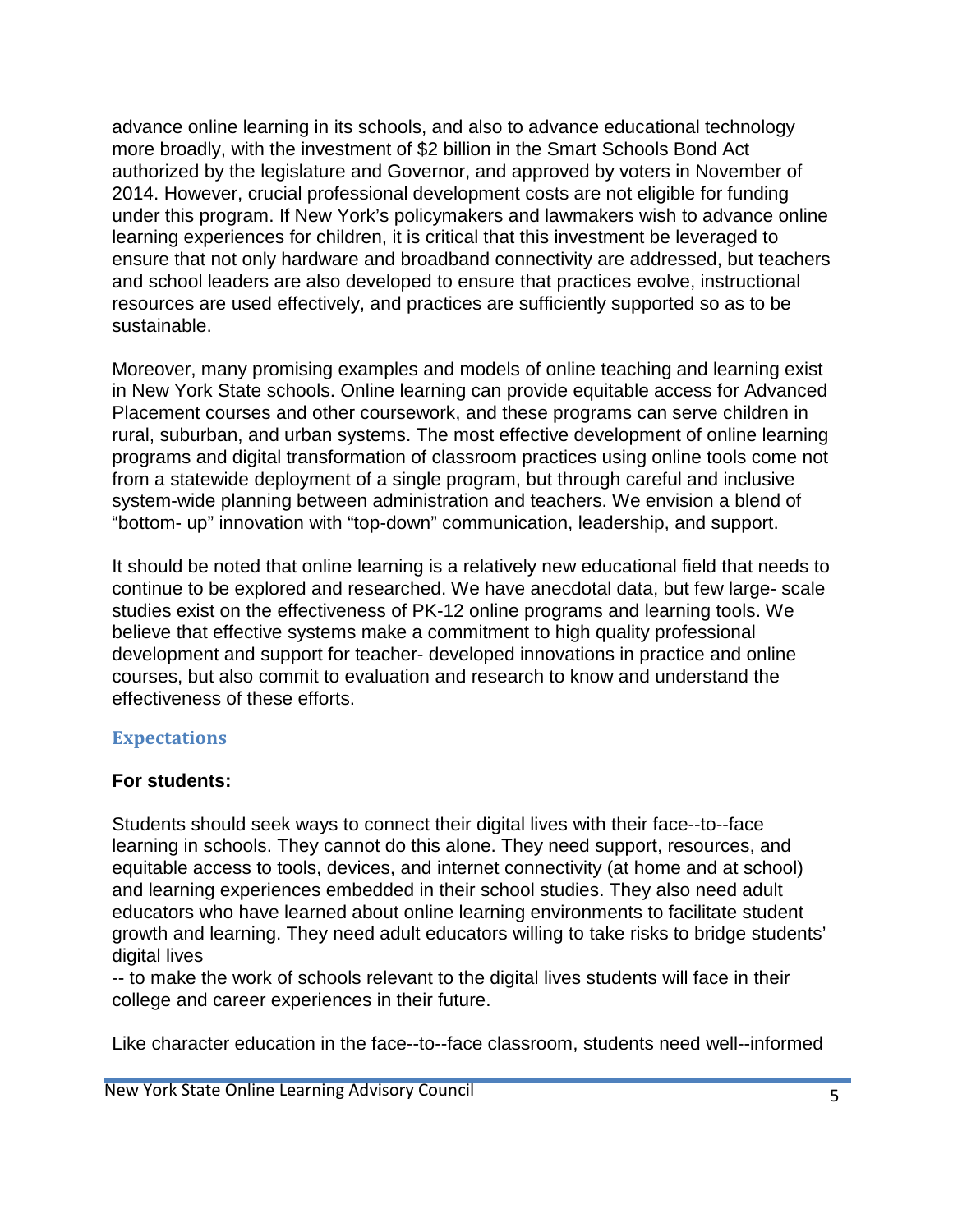advance online learning in its schools, and also to advance educational technology more broadly, with the investment of \$2 billion in the Smart Schools Bond Act authorized by the legislature and Governor, and approved by voters in November of 2014. However, crucial professional development costs are not eligible for funding under this program. If New York's policymakers and lawmakers wish to advance online learning experiences for children, it is critical that this investment be leveraged to ensure that not only hardware and broadband connectivity are addressed, but teachers and school leaders are also developed to ensure that practices evolve, instructional resources are used effectively, and practices are sufficiently supported so as to be sustainable.

Moreover, many promising examples and models of online teaching and learning exist in New York State schools. Online learning can provide equitable access for Advanced Placement courses and other coursework, and these programs can serve children in rural, suburban, and urban systems. The most effective development of online learning programs and digital transformation of classroom practices using online tools come not from a statewide deployment of a single program, but through careful and inclusive system-wide planning between administration and teachers. We envision a blend of "bottom- up" innovation with "top-down" communication, leadership, and support.

It should be noted that online learning is a relatively new educational field that needs to continue to be explored and researched. We have anecdotal data, but few large- scale studies exist on the effectiveness of PK-12 online programs and learning tools. We believe that effective systems make a commitment to high quality professional development and support for teacher- developed innovations in practice and online courses, but also commit to evaluation and research to know and understand the effectiveness of these efforts.

### **Expectations**

### **For students:**

Students should seek ways to connect their digital lives with their face--to--face learning in schools. They cannot do this alone. They need support, resources, and equitable access to tools, devices, and internet connectivity (at home and at school) and learning experiences embedded in their school studies. They also need adult educators who have learned about online learning environments to facilitate student growth and learning. They need adult educators willing to take risks to bridge students' digital lives

-- to make the work of schools relevant to the digital lives students will face in their college and career experiences in their future.

Like character education in the face--to--face classroom, students need well--informed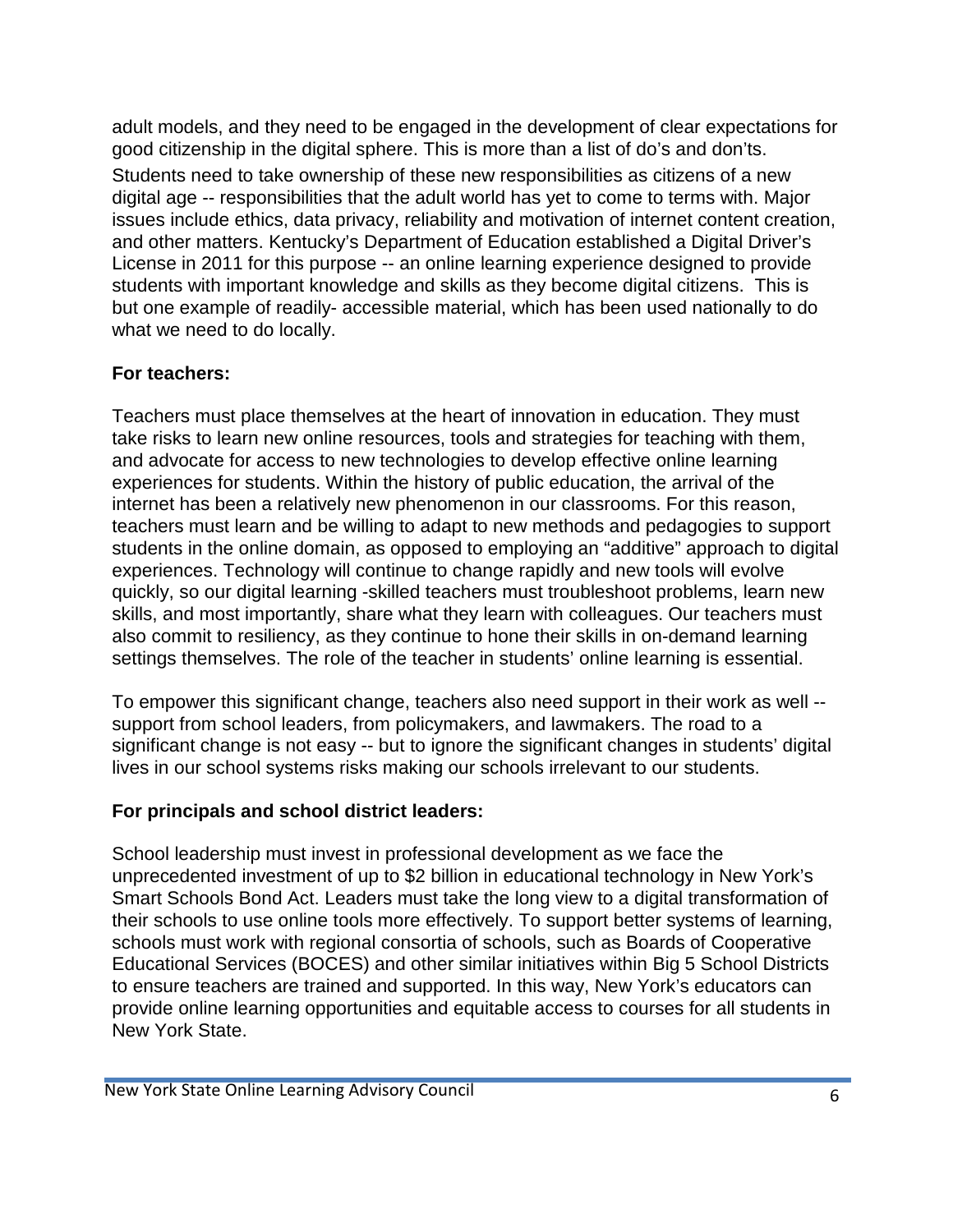adult models, and they need to be engaged in the development of clear expectations for good citizenship in the digital sphere. This is more than a list of do's and don'ts. Students need to take ownership of these new responsibilities as citizens of a new digital age -- responsibilities that the adult world has yet to come to terms with. Major issues include ethics, data privacy, reliability and motivation of internet content creation, and other matters. Kentucky's Department of Education established a Digital Driver's License in 2011 for this purpose -- an online learning experience designed to provide students with important knowledge and skills as they become digital citizens. This is but one example of readily- accessible material, which has been used nationally to do what we need to do locally.

### **For teachers:**

Teachers must place themselves at the heart of innovation in education. They must take risks to learn new online resources, tools and strategies for teaching with them, and advocate for access to new technologies to develop effective online learning experiences for students. Within the history of public education, the arrival of the internet has been a relatively new phenomenon in our classrooms. For this reason, teachers must learn and be willing to adapt to new methods and pedagogies to support students in the online domain, as opposed to employing an "additive" approach to digital experiences. Technology will continue to change rapidly and new tools will evolve quickly, so our digital learning -skilled teachers must troubleshoot problems, learn new skills, and most importantly, share what they learn with colleagues. Our teachers must also commit to resiliency, as they continue to hone their skills in on-demand learning settings themselves. The role of the teacher in students' online learning is essential.

To empower this significant change, teachers also need support in their work as well - support from school leaders, from policymakers, and lawmakers. The road to a significant change is not easy -- but to ignore the significant changes in students' digital lives in our school systems risks making our schools irrelevant to our students.

# **For principals and school district leaders:**

School leadership must invest in professional development as we face the unprecedented investment of up to \$2 billion in educational technology in New York's Smart Schools Bond Act. Leaders must take the long view to a digital transformation of their schools to use online tools more effectively. To support better systems of learning, schools must work with regional consortia of schools, such as Boards of Cooperative Educational Services (BOCES) and other similar initiatives within Big 5 School Districts to ensure teachers are trained and supported. In this way, New York's educators can provide online learning opportunities and equitable access to courses for all students in New York State.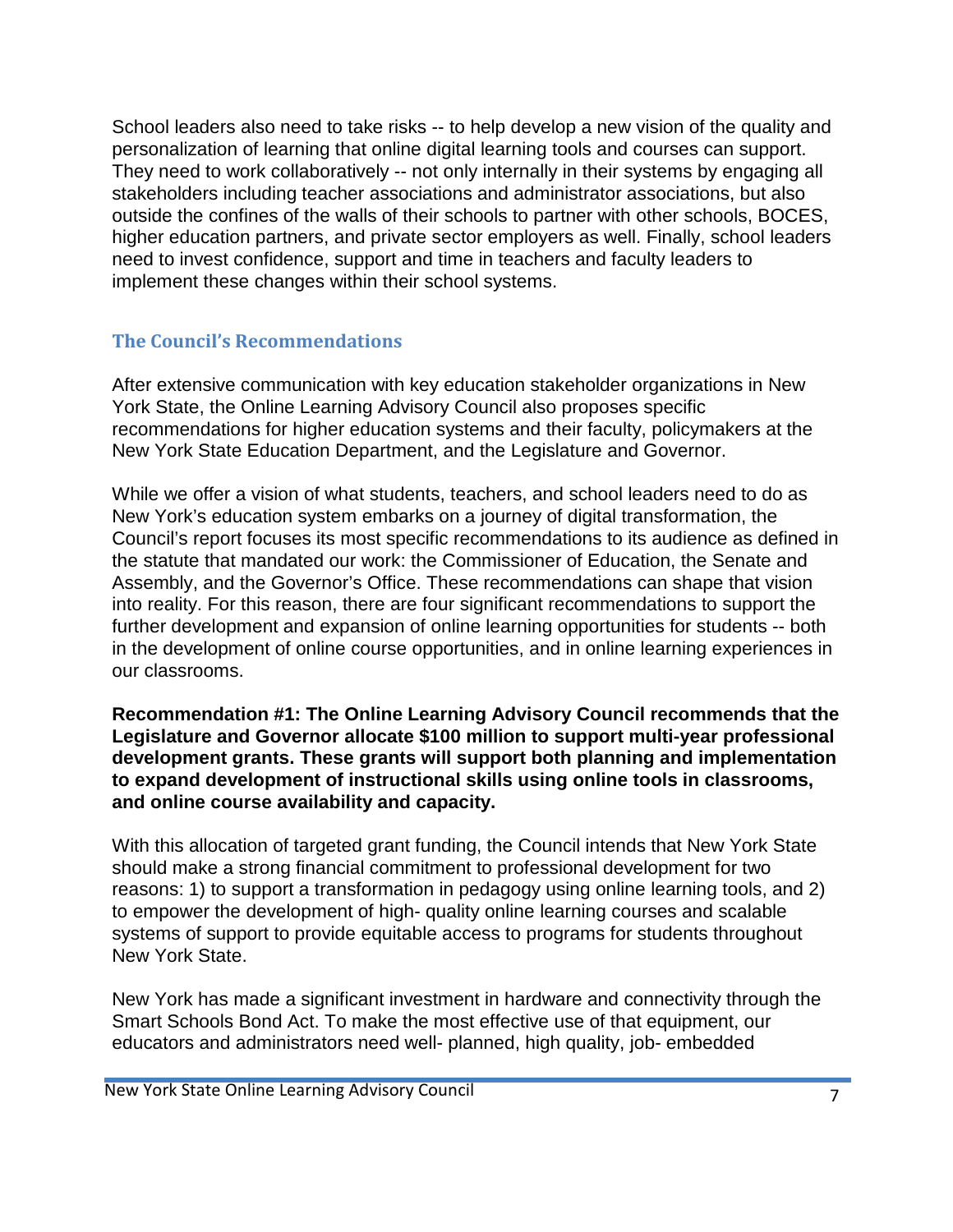School leaders also need to take risks -- to help develop a new vision of the quality and personalization of learning that online digital learning tools and courses can support. They need to work collaboratively -- not only internally in their systems by engaging all stakeholders including teacher associations and administrator associations, but also outside the confines of the walls of their schools to partner with other schools, BOCES, higher education partners, and private sector employers as well. Finally, school leaders need to invest confidence, support and time in teachers and faculty leaders to implement these changes within their school systems.

#### **The Council's Recommendations**

After extensive communication with key education stakeholder organizations in New York State, the Online Learning Advisory Council also proposes specific recommendations for higher education systems and their faculty, policymakers at the New York State Education Department, and the Legislature and Governor.

While we offer a vision of what students, teachers, and school leaders need to do as New York's education system embarks on a journey of digital transformation, the Council's report focuses its most specific recommendations to its audience as defined in the statute that mandated our work: the Commissioner of Education, the Senate and Assembly, and the Governor's Office. These recommendations can shape that vision into reality. For this reason, there are four significant recommendations to support the further development and expansion of online learning opportunities for students -- both in the development of online course opportunities, and in online learning experiences in our classrooms.

#### **Recommendation #1: The Online Learning Advisory Council recommends that the Legislature and Governor allocate \$100 million to support multi-year professional development grants. These grants will support both planning and implementation to expand development of instructional skills using online tools in classrooms, and online course availability and capacity.**

With this allocation of targeted grant funding, the Council intends that New York State should make a strong financial commitment to professional development for two reasons: 1) to support a transformation in pedagogy using online learning tools, and 2) to empower the development of high- quality online learning courses and scalable systems of support to provide equitable access to programs for students throughout New York State.

New York has made a significant investment in hardware and connectivity through the Smart Schools Bond Act. To make the most effective use of that equipment, our educators and administrators need well- planned, high quality, job- embedded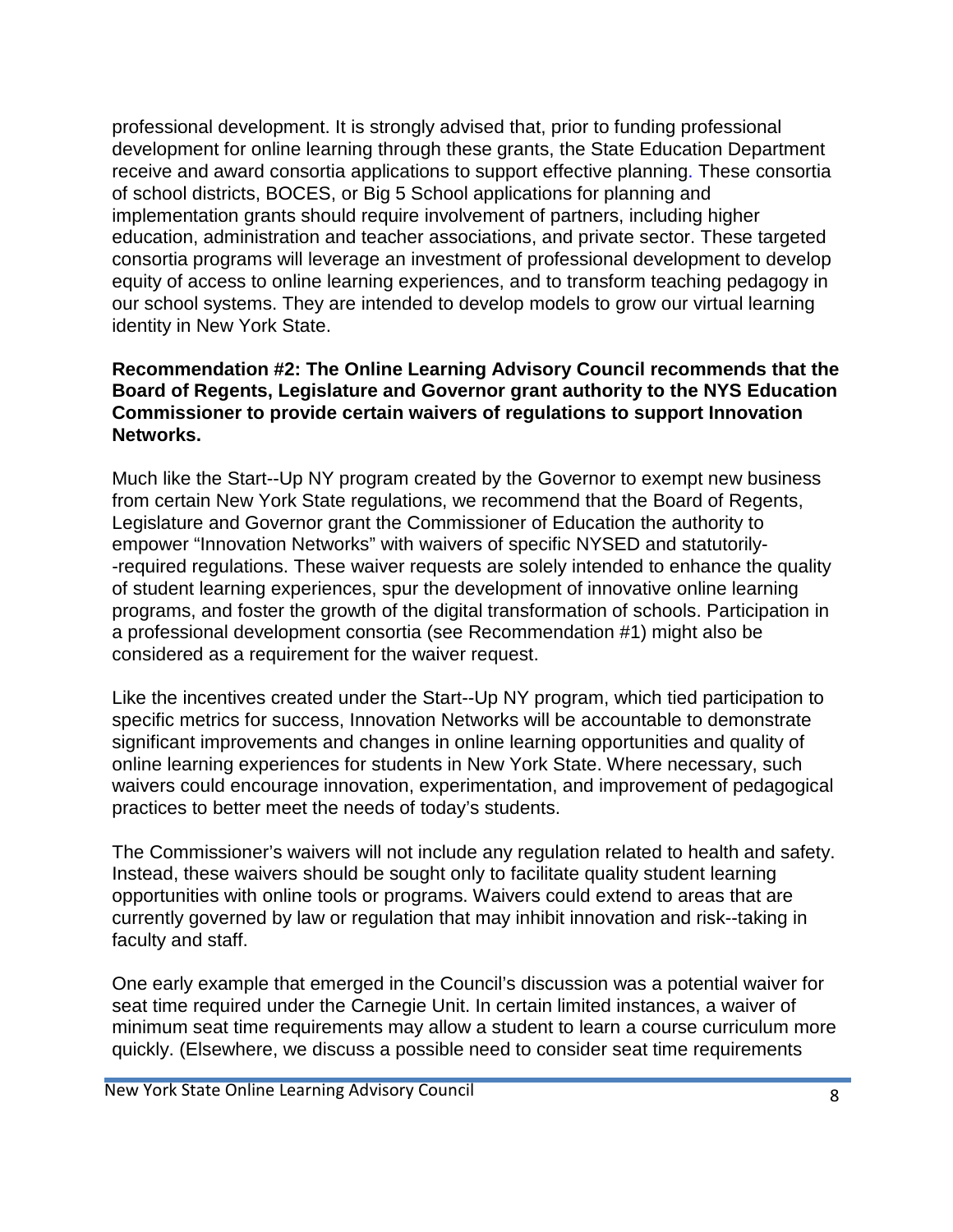professional development. It is strongly advised that, prior to funding professional development for online learning through these grants, the State Education Department receive and award consortia applications to support effective planning. These consortia of school districts, BOCES, or Big 5 School applications for planning and implementation grants should require involvement of partners, including higher education, administration and teacher associations, and private sector. These targeted consortia programs will leverage an investment of professional development to develop equity of access to online learning experiences, and to transform teaching pedagogy in our school systems. They are intended to develop models to grow our virtual learning identity in New York State.

#### **Recommendation #2: The Online Learning Advisory Council recommends that the Board of Regents, Legislature and Governor grant authority to the NYS Education Commissioner to provide certain waivers of regulations to support Innovation Networks.**

Much like the Start--Up NY program created by the Governor to exempt new business from certain New York State regulations, we recommend that the Board of Regents, Legislature and Governor grant the Commissioner of Education the authority to empower "Innovation Networks" with waivers of specific NYSED and statutorily- -required regulations. These waiver requests are solely intended to enhance the quality of student learning experiences, spur the development of innovative online learning programs, and foster the growth of the digital transformation of schools. Participation in a professional development consortia (see Recommendation #1) might also be considered as a requirement for the waiver request.

Like the incentives created under the Start--Up NY program, which tied participation to specific metrics for success, Innovation Networks will be accountable to demonstrate significant improvements and changes in online learning opportunities and quality of online learning experiences for students in New York State. Where necessary, such waivers could encourage innovation, experimentation, and improvement of pedagogical practices to better meet the needs of today's students.

The Commissioner's waivers will not include any regulation related to health and safety. Instead, these waivers should be sought only to facilitate quality student learning opportunities with online tools or programs. Waivers could extend to areas that are currently governed by law or regulation that may inhibit innovation and risk--taking in faculty and staff.

One early example that emerged in the Council's discussion was a potential waiver for seat time required under the Carnegie Unit. In certain limited instances, a waiver of minimum seat time requirements may allow a student to learn a course curriculum more quickly. (Elsewhere, we discuss a possible need to consider seat time requirements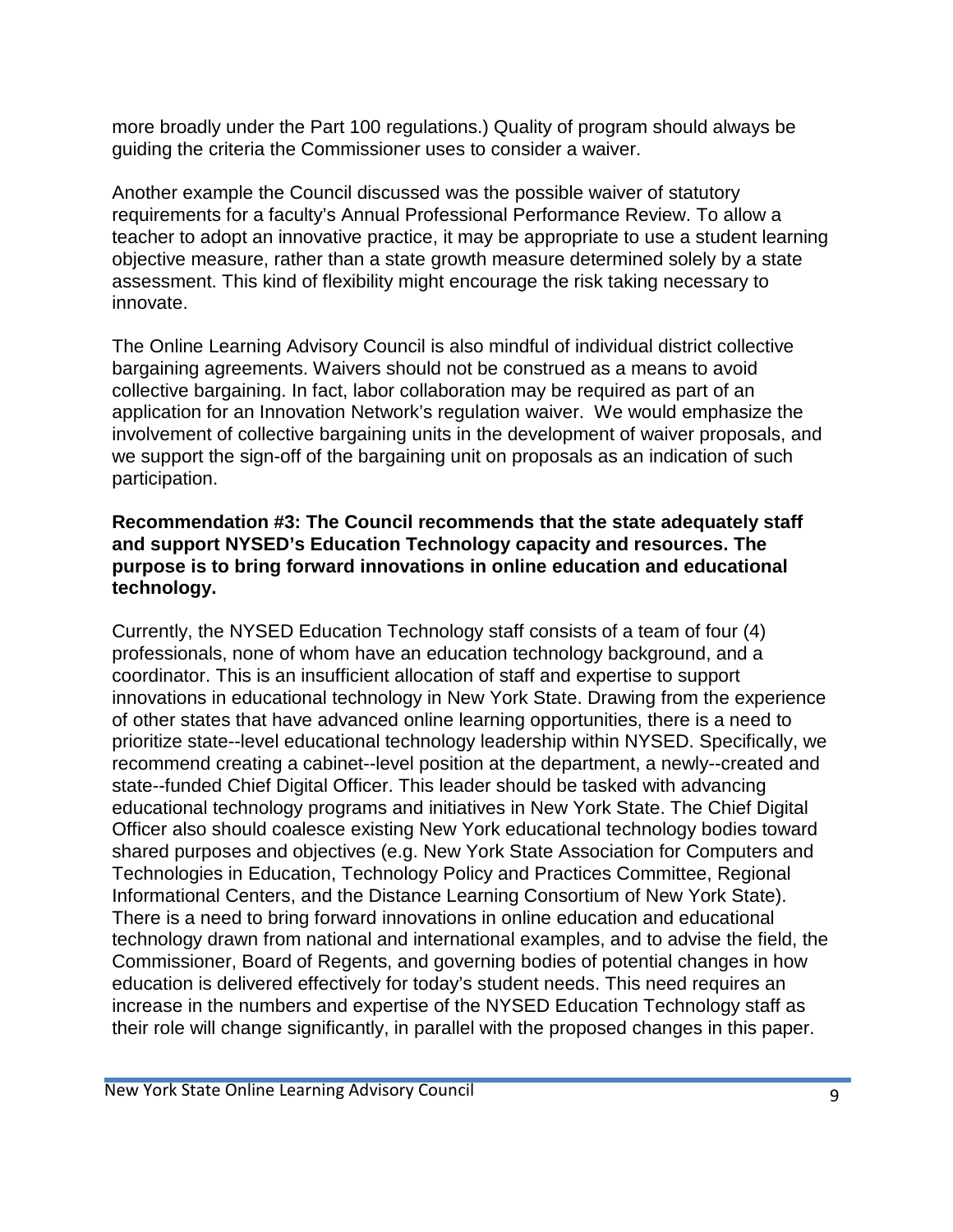more broadly under the Part 100 regulations.) Quality of program should always be guiding the criteria the Commissioner uses to consider a waiver.

Another example the Council discussed was the possible waiver of statutory requirements for a faculty's Annual Professional Performance Review. To allow a teacher to adopt an innovative practice, it may be appropriate to use a student learning objective measure, rather than a state growth measure determined solely by a state assessment. This kind of flexibility might encourage the risk taking necessary to innovate.

The Online Learning Advisory Council is also mindful of individual district collective bargaining agreements. Waivers should not be construed as a means to avoid collective bargaining. In fact, labor collaboration may be required as part of an application for an Innovation Network's regulation waiver. We would emphasize the involvement of collective bargaining units in the development of waiver proposals, and we support the sign-off of the bargaining unit on proposals as an indication of such participation.

#### **Recommendation #3: The Council recommends that the state adequately staff and support NYSED's Education Technology capacity and resources. The purpose is to bring forward innovations in online education and educational technology.**

Currently, the NYSED Education Technology staff consists of a team of four (4) professionals, none of whom have an education technology background, and a coordinator. This is an insufficient allocation of staff and expertise to support innovations in educational technology in New York State. Drawing from the experience of other states that have advanced online learning opportunities, there is a need to prioritize state--level educational technology leadership within NYSED. Specifically, we recommend creating a cabinet--level position at the department, a newly--created and state--funded Chief Digital Officer. This leader should be tasked with advancing educational technology programs and initiatives in New York State. The Chief Digital Officer also should coalesce existing New York educational technology bodies toward shared purposes and objectives (e.g. New York State Association for Computers and Technologies in Education, Technology Policy and Practices Committee, Regional Informational Centers, and the Distance Learning Consortium of New York State). There is a need to bring forward innovations in online education and educational technology drawn from national and international examples, and to advise the field, the Commissioner, Board of Regents, and governing bodies of potential changes in how education is delivered effectively for today's student needs. This need requires an increase in the numbers and expertise of the NYSED Education Technology staff as their role will change significantly, in parallel with the proposed changes in this paper.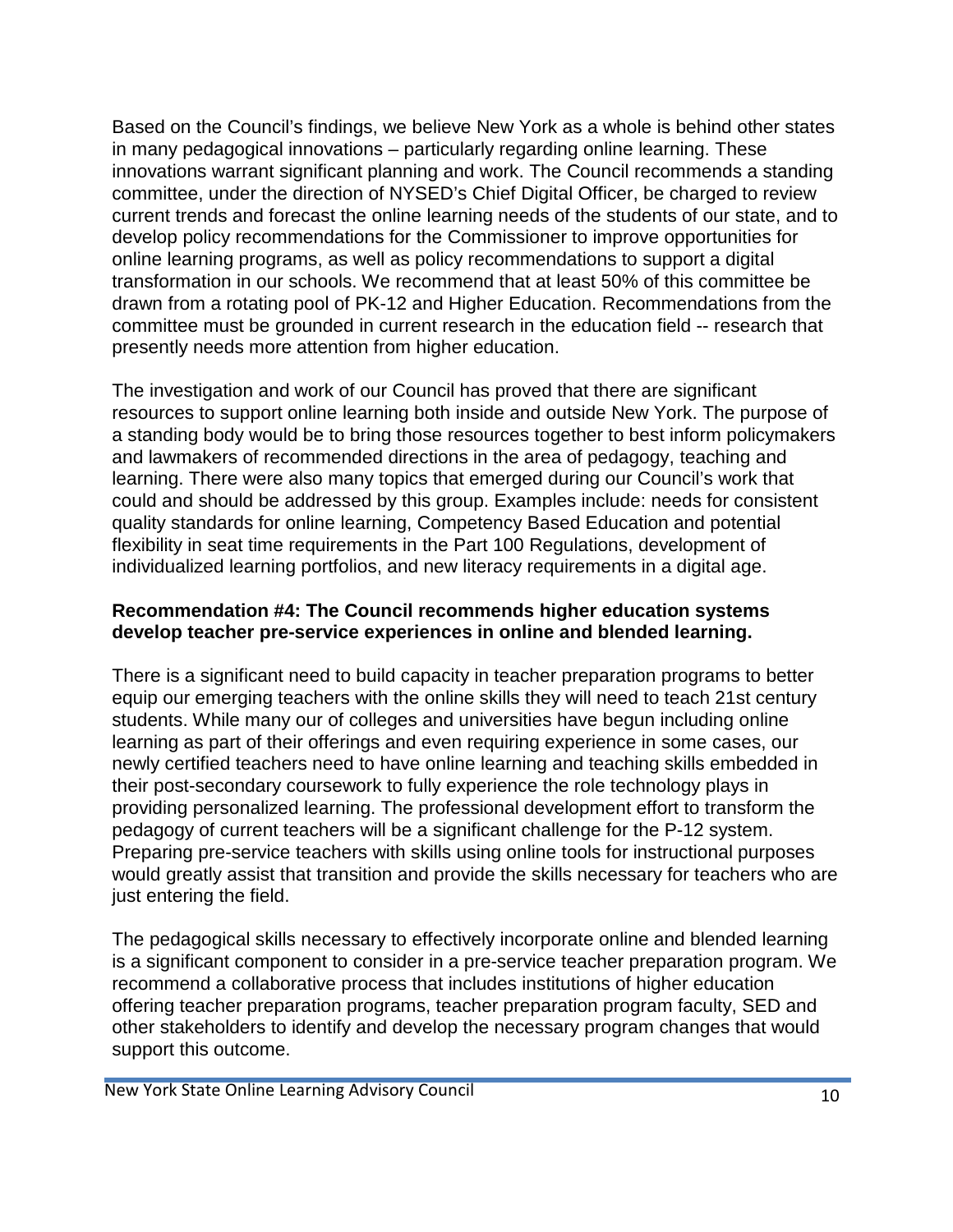Based on the Council's findings, we believe New York as a whole is behind other states in many pedagogical innovations – particularly regarding online learning. These innovations warrant significant planning and work. The Council recommends a standing committee, under the direction of NYSED's Chief Digital Officer, be charged to review current trends and forecast the online learning needs of the students of our state, and to develop policy recommendations for the Commissioner to improve opportunities for online learning programs, as well as policy recommendations to support a digital transformation in our schools. We recommend that at least 50% of this committee be drawn from a rotating pool of PK-12 and Higher Education. Recommendations from the committee must be grounded in current research in the education field -- research that presently needs more attention from higher education.

The investigation and work of our Council has proved that there are significant resources to support online learning both inside and outside New York. The purpose of a standing body would be to bring those resources together to best inform policymakers and lawmakers of recommended directions in the area of pedagogy, teaching and learning. There were also many topics that emerged during our Council's work that could and should be addressed by this group. Examples include: needs for consistent quality standards for online learning, Competency Based Education and potential flexibility in seat time requirements in the Part 100 Regulations, development of individualized learning portfolios, and new literacy requirements in a digital age.

#### **Recommendation #4: The Council recommends higher education systems develop teacher pre-service experiences in online and blended learning.**

There is a significant need to build capacity in teacher preparation programs to better equip our emerging teachers with the online skills they will need to teach 21st century students. While many our of colleges and universities have begun including online learning as part of their offerings and even requiring experience in some cases, our newly certified teachers need to have online learning and teaching skills embedded in their post-secondary coursework to fully experience the role technology plays in providing personalized learning. The professional development effort to transform the pedagogy of current teachers will be a significant challenge for the P-12 system. Preparing pre-service teachers with skills using online tools for instructional purposes would greatly assist that transition and provide the skills necessary for teachers who are just entering the field.

The pedagogical skills necessary to effectively incorporate online and blended learning is a significant component to consider in a pre-service teacher preparation program. We recommend a collaborative process that includes institutions of higher education offering teacher preparation programs, teacher preparation program faculty, SED and other stakeholders to identify and develop the necessary program changes that would support this outcome.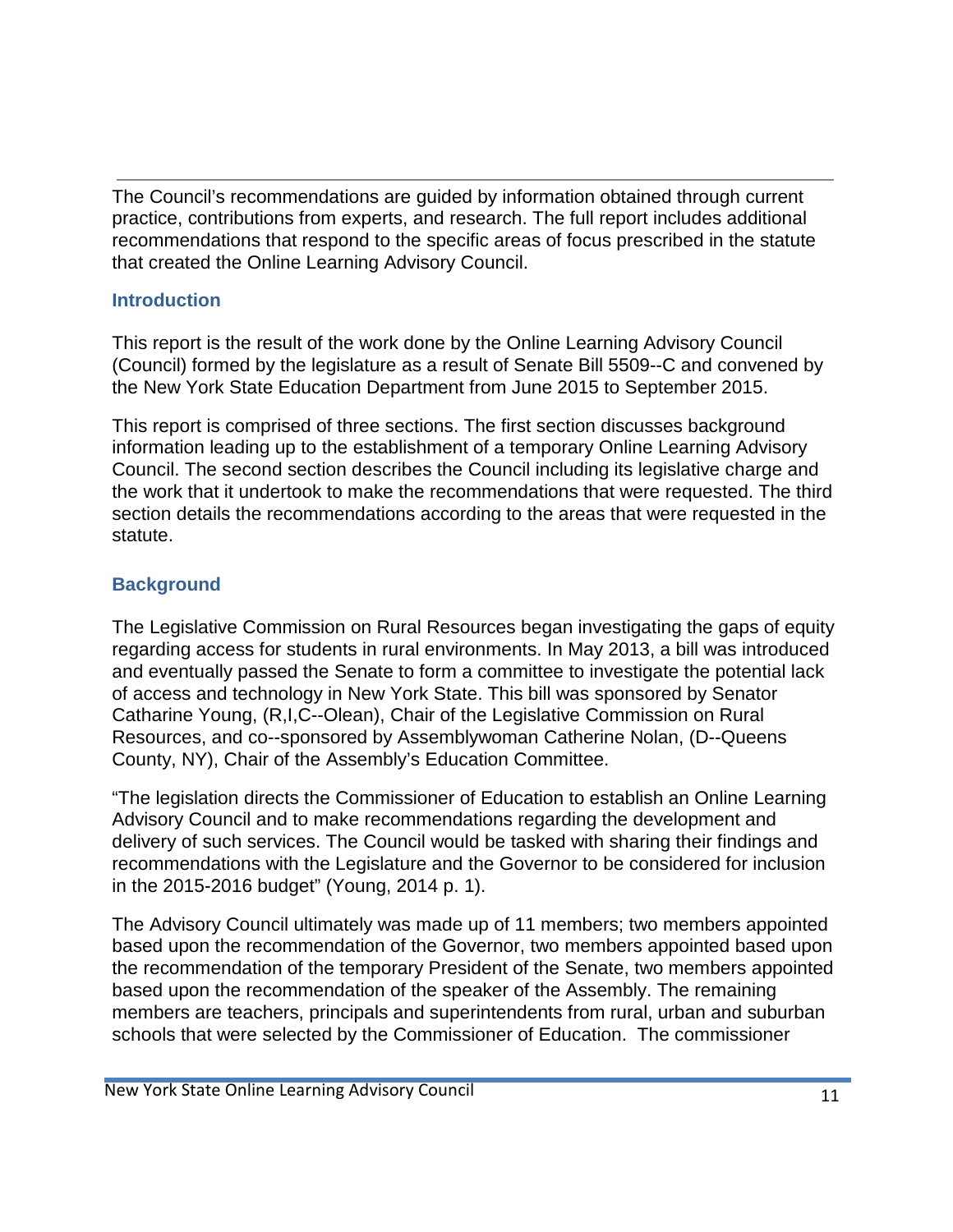The Council's recommendations are guided by information obtained through current practice, contributions from experts, and research. The full report includes additional recommendations that respond to the specific areas of focus prescribed in the statute that created the Online Learning Advisory Council.

## **Introduction**

This report is the result of the work done by the Online Learning Advisory Council (Council) formed by the legislature as a result of Senate Bill 5509--C and convened by the New York State Education Department from June 2015 to September 2015.

This report is comprised of three sections. The first section discusses background information leading up to the establishment of a temporary Online Learning Advisory Council. The second section describes the Council including its legislative charge and the work that it undertook to make the recommendations that were requested. The third section details the recommendations according to the areas that were requested in the statute.

## **Background**

The Legislative Commission on Rural Resources began investigating the gaps of equity regarding access for students in rural environments. In May 2013, a bill was introduced and eventually passed the Senate to form a committee to investigate the potential lack of access and technology in New York State. This bill was sponsored by Senator Catharine Young, (R,I,C--Olean), Chair of the Legislative Commission on Rural Resources, and co--sponsored by Assemblywoman Catherine Nolan, (D--Queens County, NY), Chair of the Assembly's Education Committee.

"The legislation directs the Commissioner of Education to establish an Online Learning Advisory Council and to make recommendations regarding the development and delivery of such services. The Council would be tasked with sharing their findings and recommendations with the Legislature and the Governor to be considered for inclusion in the 2015-2016 budget" (Young, 2014 p. 1).

The Advisory Council ultimately was made up of 11 members; two members appointed based upon the recommendation of the Governor, two members appointed based upon the recommendation of the temporary President of the Senate, two members appointed based upon the recommendation of the speaker of the Assembly. The remaining members are teachers, principals and superintendents from rural, urban and suburban schools that were selected by the Commissioner of Education. The commissioner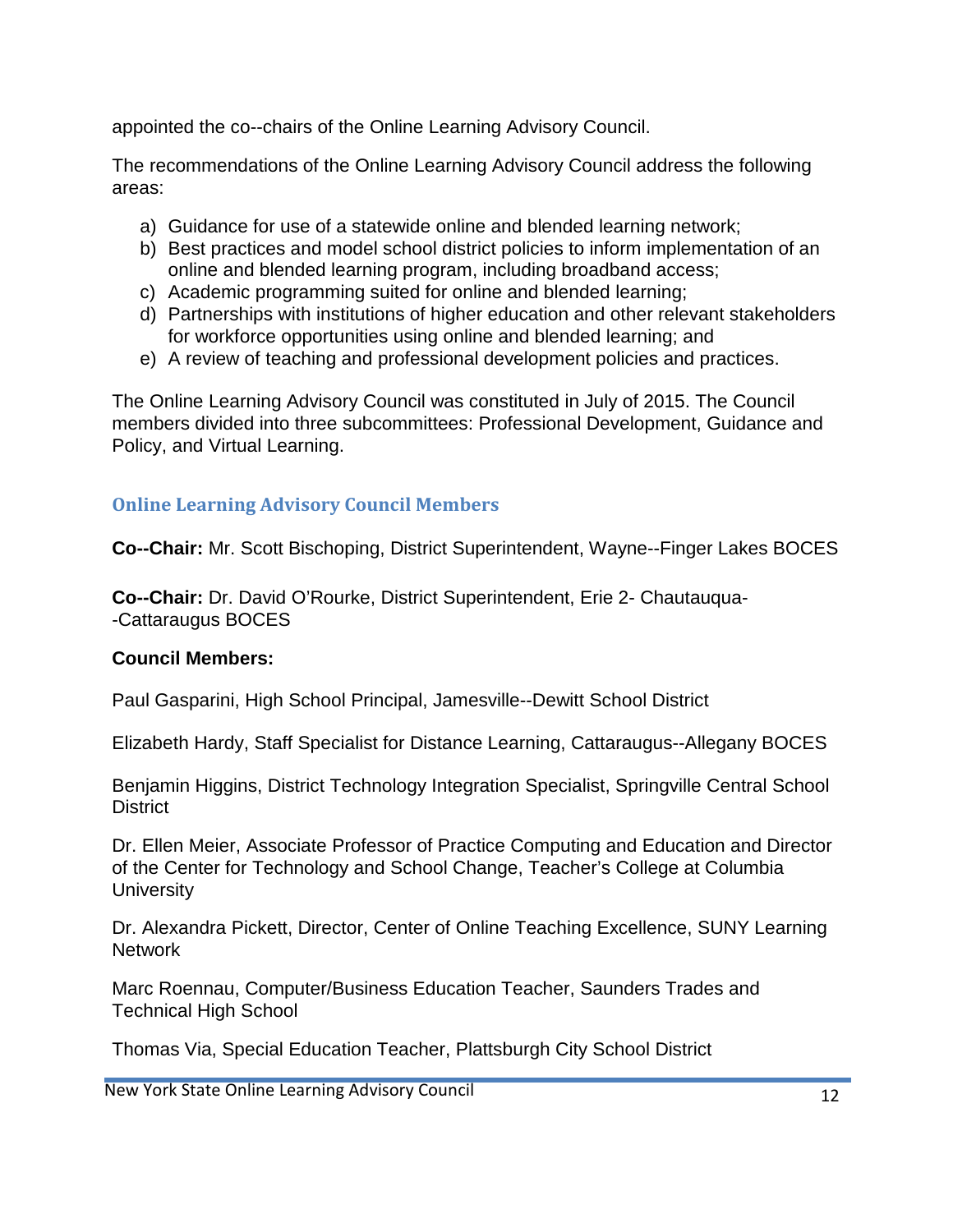appointed the co--chairs of the Online Learning Advisory Council.

The recommendations of the Online Learning Advisory Council address the following areas:

- a) Guidance for use of a statewide online and blended learning network;
- b) Best practices and model school district policies to inform implementation of an online and blended learning program, including broadband access;
- c) Academic programming suited for online and blended learning;
- d) Partnerships with institutions of higher education and other relevant stakeholders for workforce opportunities using online and blended learning; and
- e) A review of teaching and professional development policies and practices.

The Online Learning Advisory Council was constituted in July of 2015. The Council members divided into three subcommittees: Professional Development, Guidance and Policy, and Virtual Learning.

# **Online Learning Advisory Council Members**

**Co--Chair:** Mr. Scott Bischoping, District Superintendent, Wayne--Finger Lakes BOCES

**Co--Chair:** Dr. David O'Rourke, District Superintendent, Erie 2- Chautauqua- -Cattaraugus BOCES

### **Council Members:**

Paul Gasparini, High School Principal, Jamesville--Dewitt School District

Elizabeth Hardy, Staff Specialist for Distance Learning, Cattaraugus--Allegany BOCES

Benjamin Higgins, District Technology Integration Specialist, Springville Central School **District** 

Dr. Ellen Meier, Associate Professor of Practice Computing and Education and Director of the Center for Technology and School Change, Teacher's College at Columbia **University** 

Dr. Alexandra Pickett, Director, Center of Online Teaching Excellence, SUNY Learning **Network** 

Marc Roennau, Computer/Business Education Teacher, Saunders Trades and Technical High School

Thomas Via, Special Education Teacher, Plattsburgh City School District

New York State Online Learning Advisory Council 12 and 12 and 12 and 12 and 12 and 12 and 12 and 12 and 12 and 12 and 12 and 12 and 12 and 12 and 12 and 12 and 12 and 12 and 12 and 12 and 12 and 12 and 12 and 12 and 12 and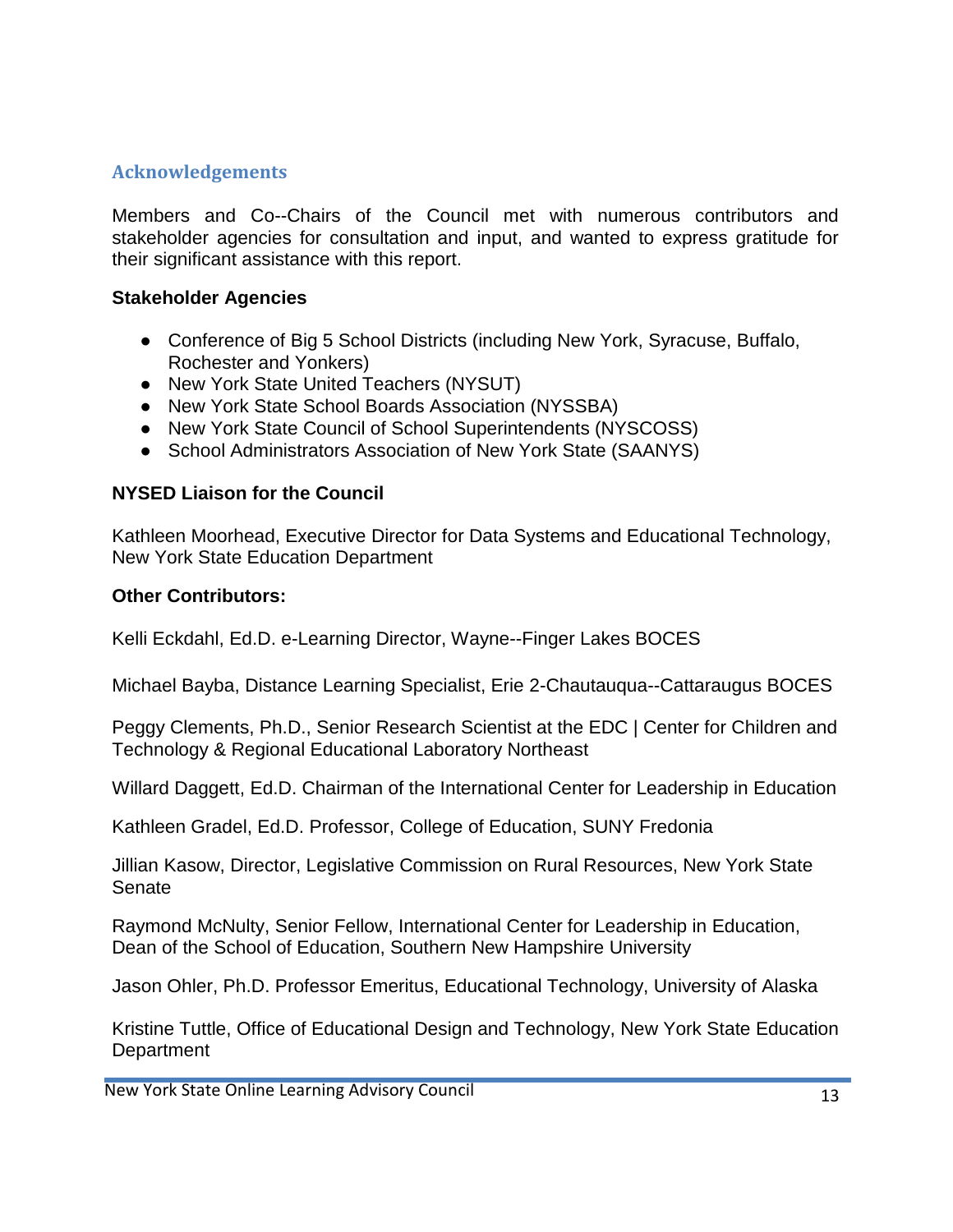## **Acknowledgements**

Members and Co--Chairs of the Council met with numerous contributors and stakeholder agencies for consultation and input, and wanted to express gratitude for their significant assistance with this report.

#### **Stakeholder Agencies**

- Conference of Big 5 School Districts (including New York, Syracuse, Buffalo, Rochester and Yonkers)
- New York State United Teachers (NYSUT)
- New York State School Boards Association (NYSSBA)
- New York State Council of School Superintendents (NYSCOSS)
- School Administrators Association of New York State (SAANYS)

### **NYSED Liaison for the Council**

Kathleen Moorhead, Executive Director for Data Systems and Educational Technology, New York State Education Department

#### **Other Contributors:**

Kelli Eckdahl, Ed.D. e-Learning Director, Wayne--Finger Lakes BOCES

Michael Bayba, Distance Learning Specialist, Erie 2-Chautauqua--Cattaraugus BOCES

Peggy Clements, Ph.D., Senior Research Scientist at the EDC | Center for Children and Technology & Regional Educational Laboratory Northeast

Willard Daggett, Ed.D. Chairman of the International Center for Leadership in Education

Kathleen Gradel, Ed.D. Professor, College of Education, SUNY Fredonia

Jillian Kasow, Director, Legislative Commission on Rural Resources, New York State Senate

Raymond McNulty, Senior Fellow, International Center for Leadership in Education, Dean of the School of Education, Southern New Hampshire University

Jason Ohler, Ph.D. Professor Emeritus, Educational Technology, University of Alaska

Kristine Tuttle, Office of Educational Design and Technology, New York State Education **Department** 

New York State Online Learning Advisory Council 13 and 13 and 13 and 13 and 13 and 13 and 13 and 13 and 13 and 13 and 13 and 13 and 13 and 13 and 13 and 13 and 13 and 13 and 13 and 13 and 13 and 13 and 13 and 13 and 13 and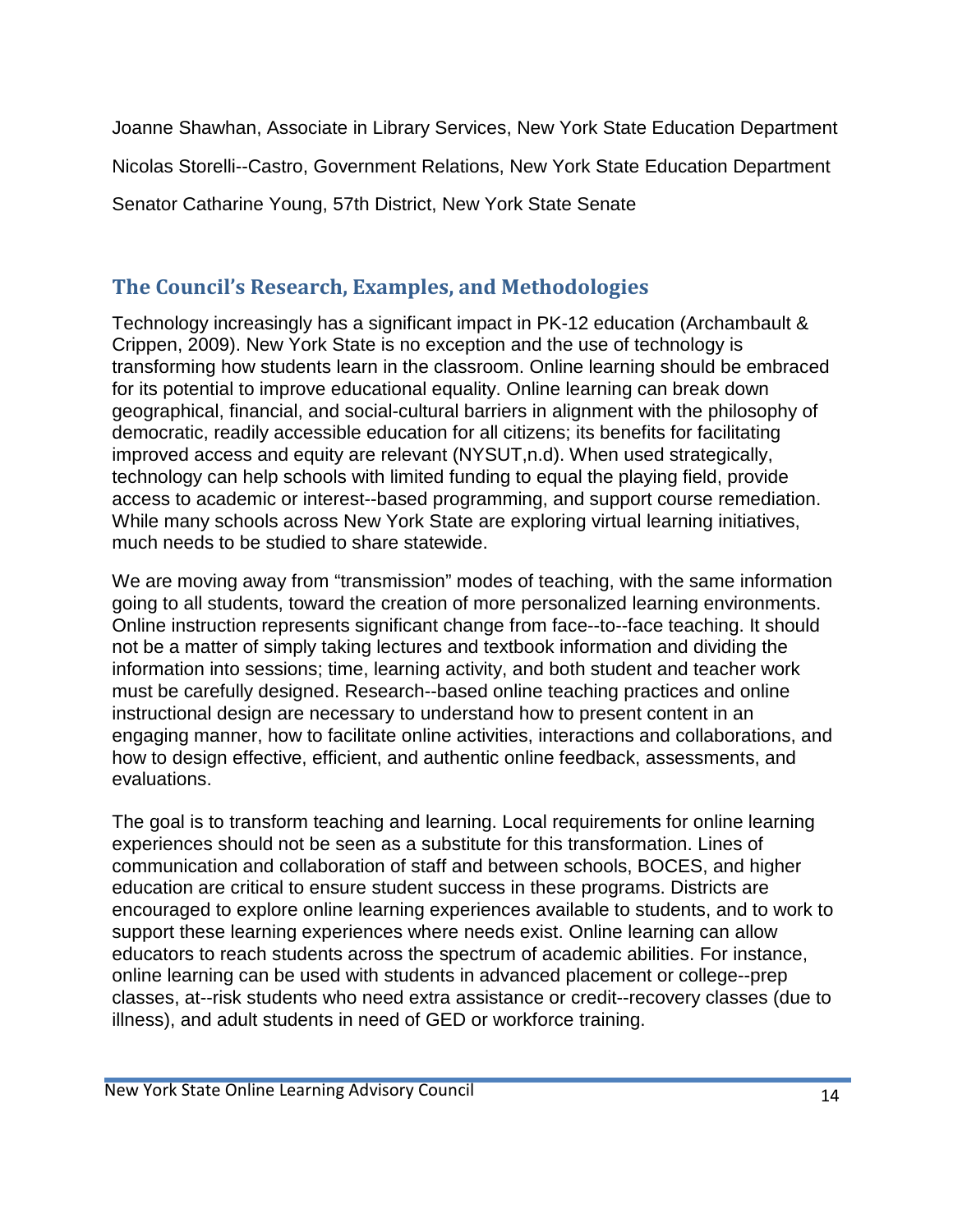Joanne Shawhan, Associate in Library Services, New York State Education Department Nicolas Storelli--Castro, Government Relations, New York State Education Department Senator Catharine Young, 57th District, New York State Senate

# **The Council's Research, Examples, and Methodologies**

Technology increasingly has a significant impact in PK-12 education (Archambault & Crippen, 2009). New York State is no exception and the use of technology is transforming how students learn in the classroom. Online learning should be embraced for its potential to improve educational equality. Online learning can break down geographical, financial, and social-cultural barriers in alignment with the philosophy of democratic, readily accessible education for all citizens; its benefits for facilitating improved access and equity are relevant (NYSUT,n.d). When used strategically, technology can help schools with limited funding to equal the playing field, provide access to academic or interest--based programming, and support course remediation. While many schools across New York State are exploring virtual learning initiatives, much needs to be studied to share statewide.

We are moving away from "transmission" modes of teaching, with the same information going to all students, toward the creation of more personalized learning environments. Online instruction represents significant change from face--to--face teaching. It should not be a matter of simply taking lectures and textbook information and dividing the information into sessions; time, learning activity, and both student and teacher work must be carefully designed. Research--based online teaching practices and online instructional design are necessary to understand how to present content in an engaging manner, how to facilitate online activities, interactions and collaborations, and how to design effective, efficient, and authentic online feedback, assessments, and evaluations.

The goal is to transform teaching and learning. Local requirements for online learning experiences should not be seen as a substitute for this transformation. Lines of communication and collaboration of staff and between schools, BOCES, and higher education are critical to ensure student success in these programs. Districts are encouraged to explore online learning experiences available to students, and to work to support these learning experiences where needs exist. Online learning can allow educators to reach students across the spectrum of academic abilities. For instance, online learning can be used with students in advanced placement or college--prep classes, at--risk students who need extra assistance or credit--recovery classes (due to illness), and adult students in need of GED or workforce training.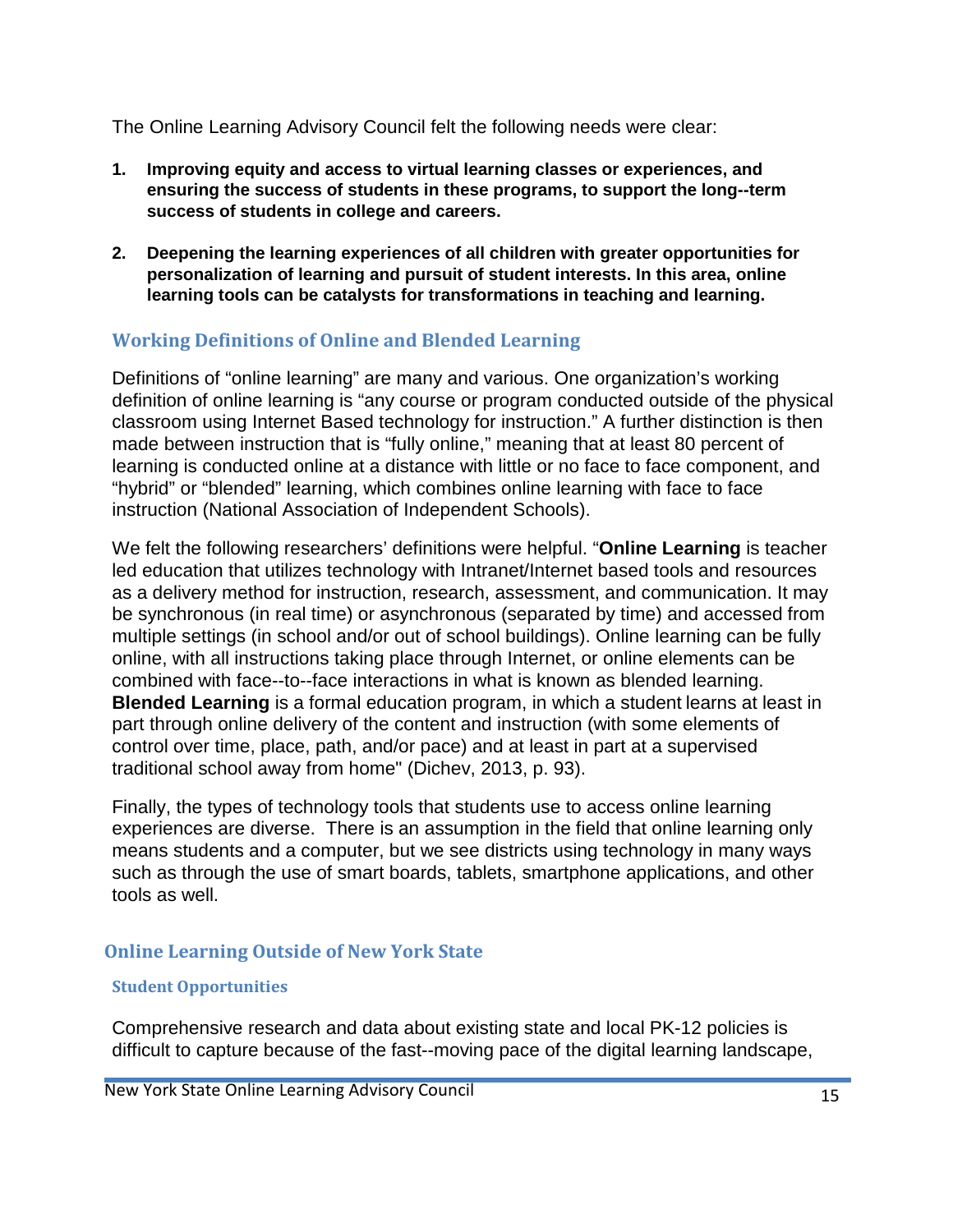The Online Learning Advisory Council felt the following needs were clear:

- **1. Improving equity and access to virtual learning classes or experiences, and ensuring the success of students in these programs, to support the long--term success of students in college and careers.**
- **2. Deepening the learning experiences of all children with greater opportunities for personalization of learning and pursuit of student interests. In this area, online learning tools can be catalysts for transformations in teaching and learning.**

#### **Working Definitions of Online and Blended Learning**

Definitions of "online learning" are many and various. One organization's working definition of online learning is "any course or program conducted outside of the physical classroom using Internet Based technology for instruction." A further distinction is then made between instruction that is "fully online," meaning that at least 80 percent of learning is conducted online at a distance with little or no face to face component, and "hybrid" or "blended" learning, which combines online learning with face to face instruction (National Association of Independent Schools).

We felt the following researchers' definitions were helpful. "**Online Learning** is teacher led education that utilizes technology with Intranet/Internet based tools and resources as a delivery method for instruction, research, assessment, and communication. It may be synchronous (in real time) or asynchronous (separated by time) and accessed from multiple settings (in school and/or out of school buildings). Online learning can be fully online, with all instructions taking place through Internet, or online elements can be combined with face--to--face interactions in what is known as blended learning. **Blended Learning** is a formal education program, in which a student learns at least in part through online delivery of the content and instruction (with some elements of control over time, place, path, and/or pace) and at least in part at a supervised traditional school away from home" (Dichev, 2013, p. 93).

Finally, the types of technology tools that students use to access online learning experiences are diverse. There is an assumption in the field that online learning only means students and a computer, but we see districts using technology in many ways such as through the use of smart boards, tablets, smartphone applications, and other tools as well.

### **Online Learning Outside of New York State**

#### **Student Opportunities**

Comprehensive research and data about existing state and local PK-12 policies is difficult to capture because of the fast--moving pace of the digital learning landscape,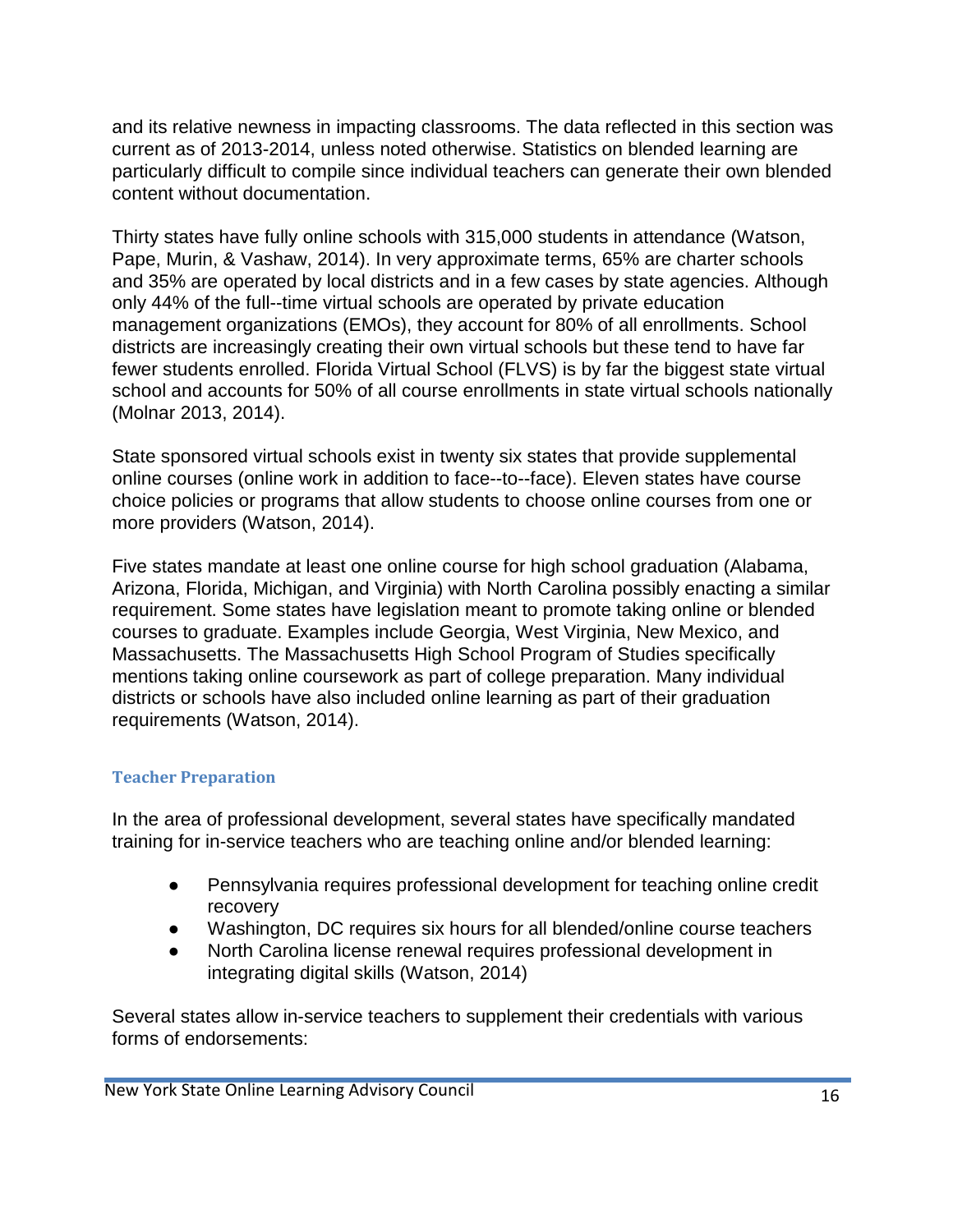and its relative newness in impacting classrooms. The data reflected in this section was current as of 2013-2014, unless noted otherwise. Statistics on blended learning are particularly difficult to compile since individual teachers can generate their own blended content without documentation.

Thirty states have fully online schools with 315,000 students in attendance (Watson, Pape, Murin, & Vashaw, 2014). In very approximate terms, 65% are charter schools and 35% are operated by local districts and in a few cases by state agencies. Although only 44% of the full--time virtual schools are operated by private education management organizations (EMOs), they account for 80% of all enrollments. School districts are increasingly creating their own virtual schools but these tend to have far fewer students enrolled. Florida Virtual School (FLVS) is by far the biggest state virtual school and accounts for 50% of all course enrollments in state virtual schools nationally (Molnar 2013, 2014).

State sponsored virtual schools exist in twenty six states that provide supplemental online courses (online work in addition to face--to--face). Eleven states have course choice policies or programs that allow students to choose online courses from one or more providers (Watson, 2014).

Five states mandate at least one online course for high school graduation (Alabama, Arizona, Florida, Michigan, and Virginia) with North Carolina possibly enacting a similar requirement. Some states have legislation meant to promote taking online or blended courses to graduate. Examples include Georgia, West Virginia, New Mexico, and Massachusetts. The Massachusetts High School Program of Studies specifically mentions taking online coursework as part of college preparation. Many individual districts or schools have also included online learning as part of their graduation requirements (Watson, 2014).

#### **Teacher Preparation**

In the area of professional development, several states have specifically mandated training for in-service teachers who are teaching online and/or blended learning:

- Pennsylvania requires professional development for teaching online credit recovery
- Washington, DC requires six hours for all blended/online course teachers
- North Carolina license renewal requires professional development in integrating digital skills (Watson, 2014)

Several states allow in-service teachers to supplement their credentials with various forms of endorsements: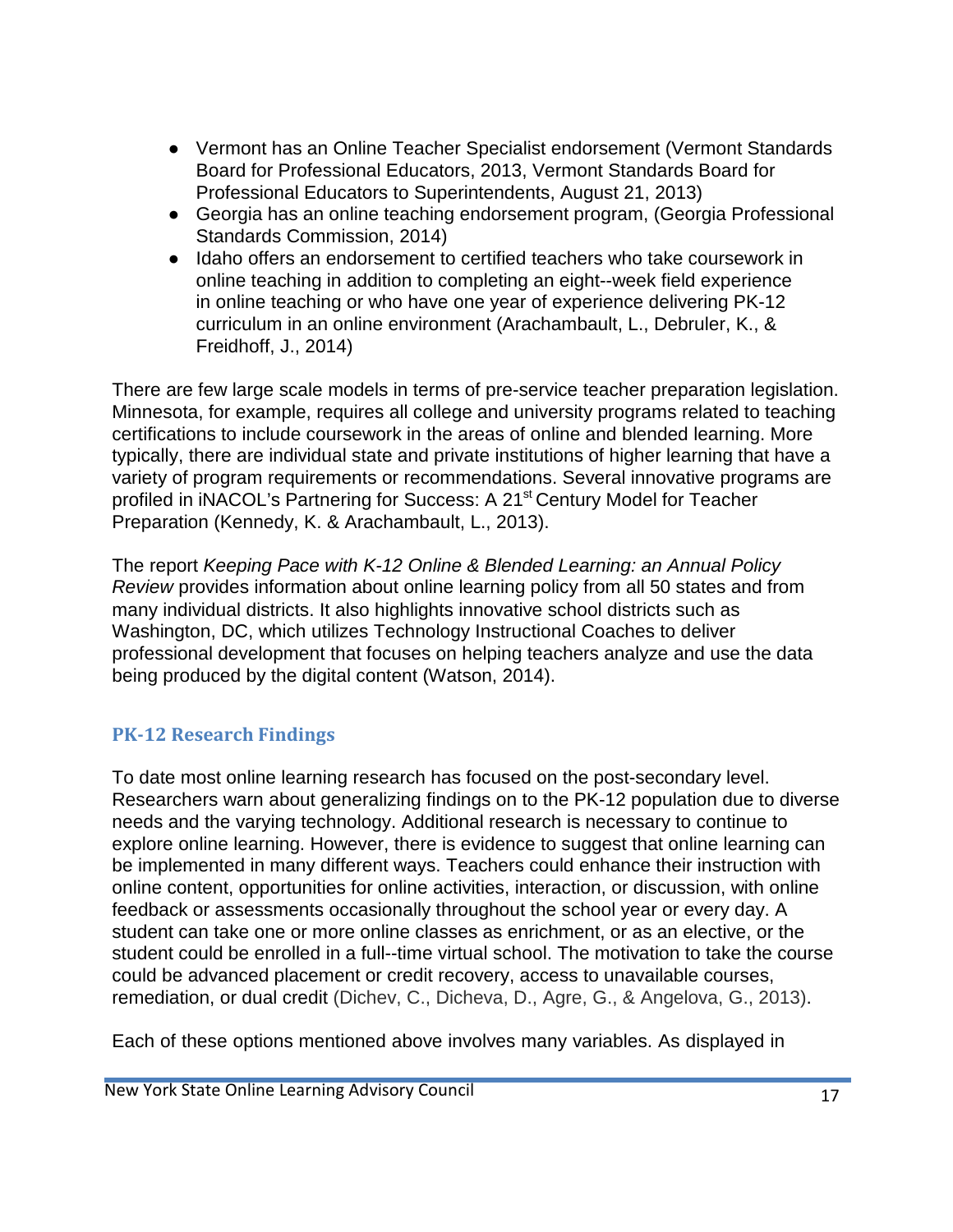- Vermont has an Online Teacher Specialist endorsement (Vermont Standards Board for Professional Educators, 2013, Vermont Standards Board for Professional Educators to Superintendents, August 21, 2013)
- Georgia has an online teaching endorsement program, (Georgia Professional Standards Commission, 2014)
- Idaho offers an endorsement to certified teachers who take coursework in online teaching in addition to completing an eight--week field experience in online teaching or who have one year of experience delivering PK-12 curriculum in an online environment (Arachambault, L., Debruler, K., & Freidhoff, J., 2014)

There are few large scale models in terms of pre-service teacher preparation legislation. Minnesota, for example, requires all college and university programs related to teaching certifications to include coursework in the areas of online and blended learning. More typically, there are individual state and private institutions of higher learning that have a variety of program requirements or recommendations. Several innovative programs are profiled in iNACOL's Partnering for Success: A 21<sup>st</sup> Century Model for Teacher Preparation (Kennedy, K. & Arachambault, L., 2013).

The report *Keeping Pace with K-12 Online & Blended Learning: an Annual Policy Review* provides information about online learning policy from all 50 states and from many individual districts. It also highlights innovative school districts such as Washington, DC, which utilizes Technology Instructional Coaches to deliver professional development that focuses on helping teachers analyze and use the data being produced by the digital content (Watson, 2014).

# **PK-12 Research Findings**

To date most online learning research has focused on the post-secondary level. Researchers warn about generalizing findings on to the PK-12 population due to diverse needs and the varying technology. Additional research is necessary to continue to explore online learning. However, there is evidence to suggest that online learning can be implemented in many different ways. Teachers could enhance their instruction with online content, opportunities for online activities, interaction, or discussion, with online feedback or assessments occasionally throughout the school year or every day. A student can take one or more online classes as enrichment, or as an elective, or the student could be enrolled in a full--time virtual school. The motivation to take the course could be advanced placement or credit recovery, access to unavailable courses, remediation, or dual credit (Dichev, C., Dicheva, D., Agre, G., & Angelova, G., 2013).

Each of these options mentioned above involves many variables. As displayed in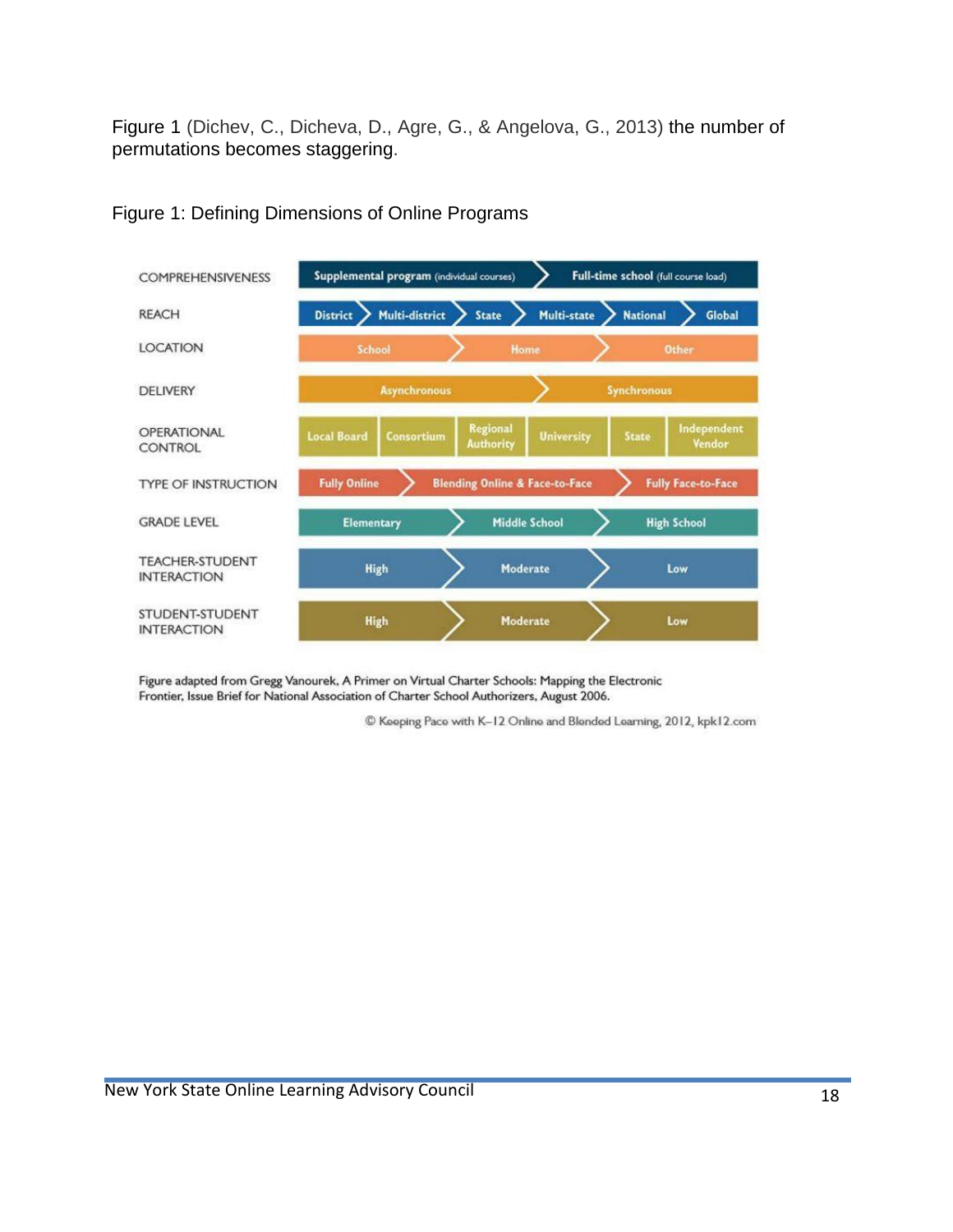Figure 1 (Dichev, C., Dicheva, D., Agre, G., & Angelova, G., 2013) the number of permutations becomes staggering.



Figure 1: Defining Dimensions of Online Programs

Figure adapted from Gregg Vanourek, A Primer on Virtual Charter Schools: Mapping the Electronic Frontier, Issue Brief for National Association of Charter School Authorizers, August 2006.

C Keeping Pace with K-12 Online and Blended Learning, 2012, kpk12.com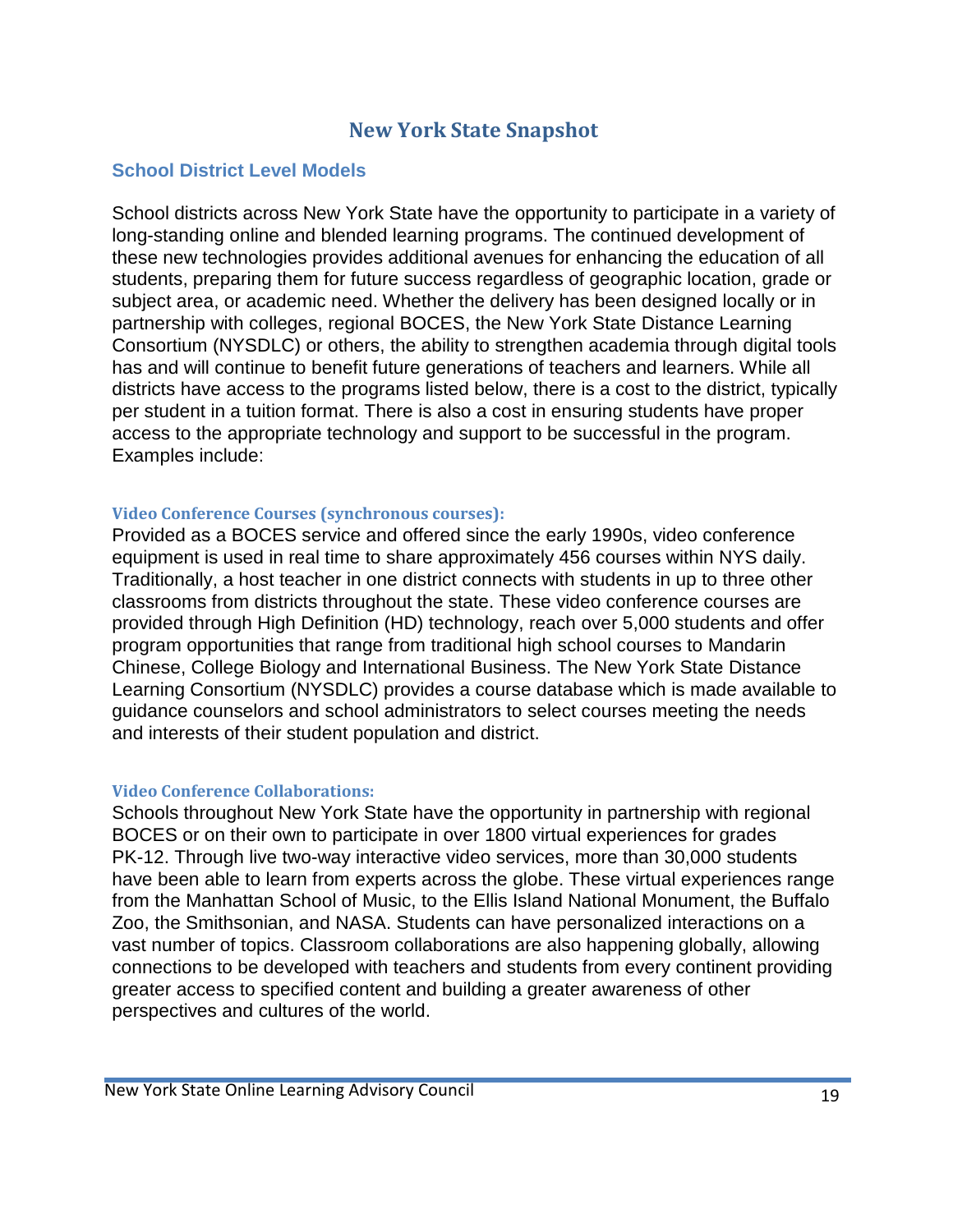# **New York State Snapshot**

#### **School District Level Models**

School districts across New York State have the opportunity to participate in a variety of long-standing online and blended learning programs. The continued development of these new technologies provides additional avenues for enhancing the education of all students, preparing them for future success regardless of geographic location, grade or subject area, or academic need. Whether the delivery has been designed locally or in partnership with colleges, regional BOCES, the New York State Distance Learning Consortium (NYSDLC) or others, the ability to strengthen academia through digital tools has and will continue to benefit future generations of teachers and learners. While all districts have access to the programs listed below, there is a cost to the district, typically per student in a tuition format. There is also a cost in ensuring students have proper access to the appropriate technology and support to be successful in the program. Examples include:

#### **Video Conference Courses (synchronous courses):**

Provided as a BOCES service and offered since the early 1990s, video conference equipment is used in real time to share approximately 456 courses within NYS daily. Traditionally, a host teacher in one district connects with students in up to three other classrooms from districts throughout the state. These video conference courses are provided through High Definition (HD) technology, reach over 5,000 students and offer program opportunities that range from traditional high school courses to Mandarin Chinese, College Biology and International Business. The New York State Distance Learning Consortium (NYSDLC) provides a course database which is made available to guidance counselors and school administrators to select courses meeting the needs and interests of their student population and district.

#### **Video Conference Collaborations:**

Schools throughout New York State have the opportunity in partnership with regional BOCES or on their own to participate in over 1800 virtual experiences for grades PK-12. Through live two-way interactive video services, more than 30,000 students have been able to learn from experts across the globe. These virtual experiences range from the Manhattan School of Music, to the Ellis Island National Monument, the Buffalo Zoo, the Smithsonian, and NASA. Students can have personalized interactions on a vast number of topics. Classroom collaborations are also happening globally, allowing connections to be developed with teachers and students from every continent providing greater access to specified content and building a greater awareness of other perspectives and cultures of the world.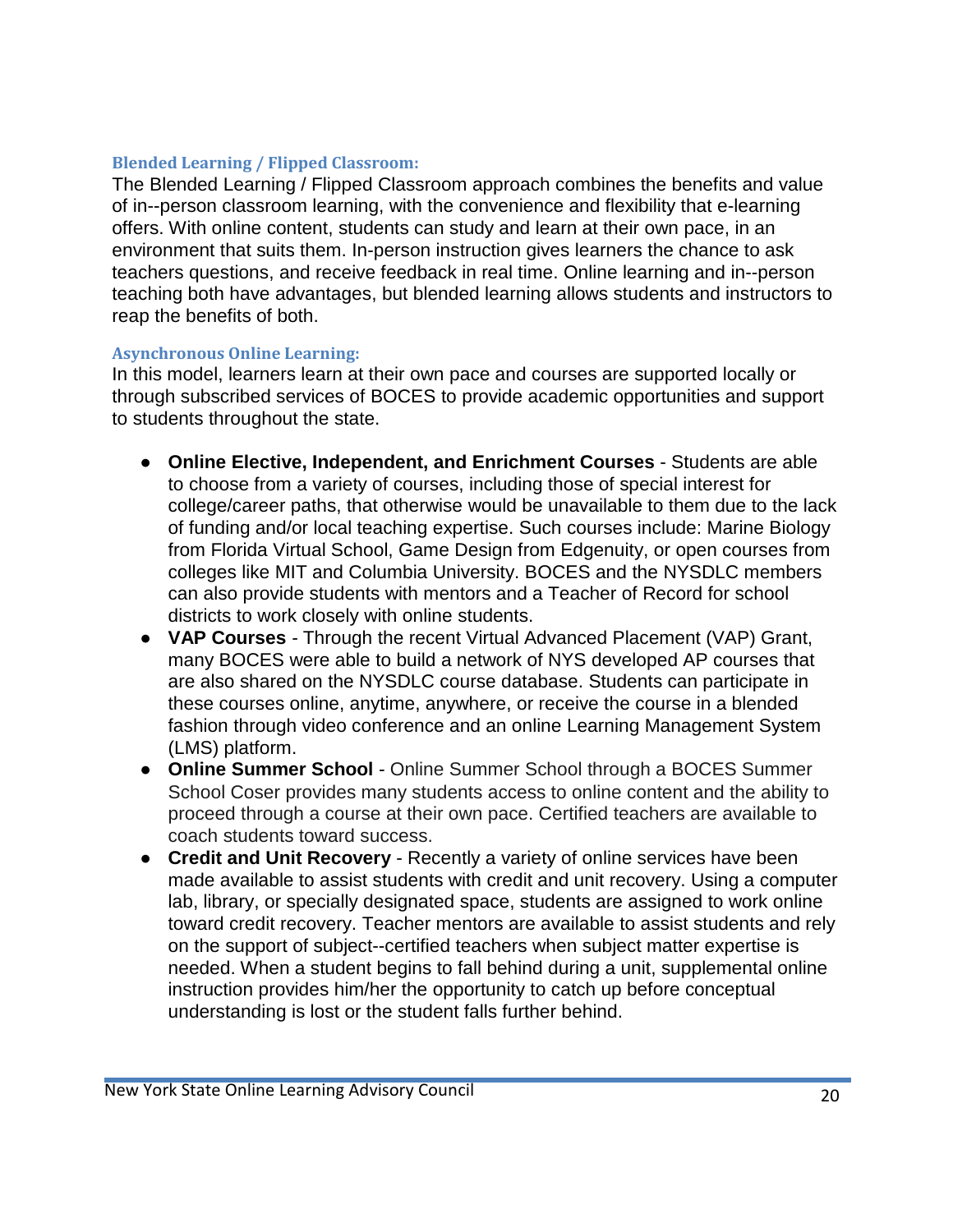#### **Blended Learning / Flipped Classroom:**

The Blended Learning / Flipped Classroom approach combines the benefits and value of in--person classroom learning, with the convenience and flexibility that e-learning offers. With online content, students can study and learn at their own pace, in an environment that suits them. In-person instruction gives learners the chance to ask teachers questions, and receive feedback in real time. Online learning and in--person teaching both have advantages, but blended learning allows students and instructors to reap the benefits of both.

#### **Asynchronous Online Learning:**

In this model, learners learn at their own pace and courses are supported locally or through subscribed services of BOCES to provide academic opportunities and support to students throughout the state.

- **Online Elective, Independent, and Enrichment Courses**  Students are able to choose from a variety of courses, including those of special interest for college/career paths, that otherwise would be unavailable to them due to the lack of funding and/or local teaching expertise. Such courses include: Marine Biology from Florida Virtual School, Game Design from Edgenuity, or open courses from colleges like MIT and Columbia University. BOCES and the NYSDLC members can also provide students with mentors and a Teacher of Record for school districts to work closely with online students.
- **VAP Courses** Through the recent Virtual Advanced Placement (VAP) Grant, many BOCES were able to build a network of NYS developed AP courses that are also shared on the NYSDLC course database. Students can participate in these courses online, anytime, anywhere, or receive the course in a blended fashion through video conference and an online Learning Management System (LMS) platform.
- **Online Summer School** Online Summer School through a BOCES Summer School Coser provides many students access to online content and the ability to proceed through a course at their own pace. Certified teachers are available to coach students toward success.
- **Credit and Unit Recovery**  Recently a variety of online services have been made available to assist students with credit and unit recovery. Using a computer lab, library, or specially designated space, students are assigned to work online toward credit recovery. Teacher mentors are available to assist students and rely on the support of subject--certified teachers when subject matter expertise is needed. When a student begins to fall behind during a unit, supplemental online instruction provides him/her the opportunity to catch up before conceptual understanding is lost or the student falls further behind.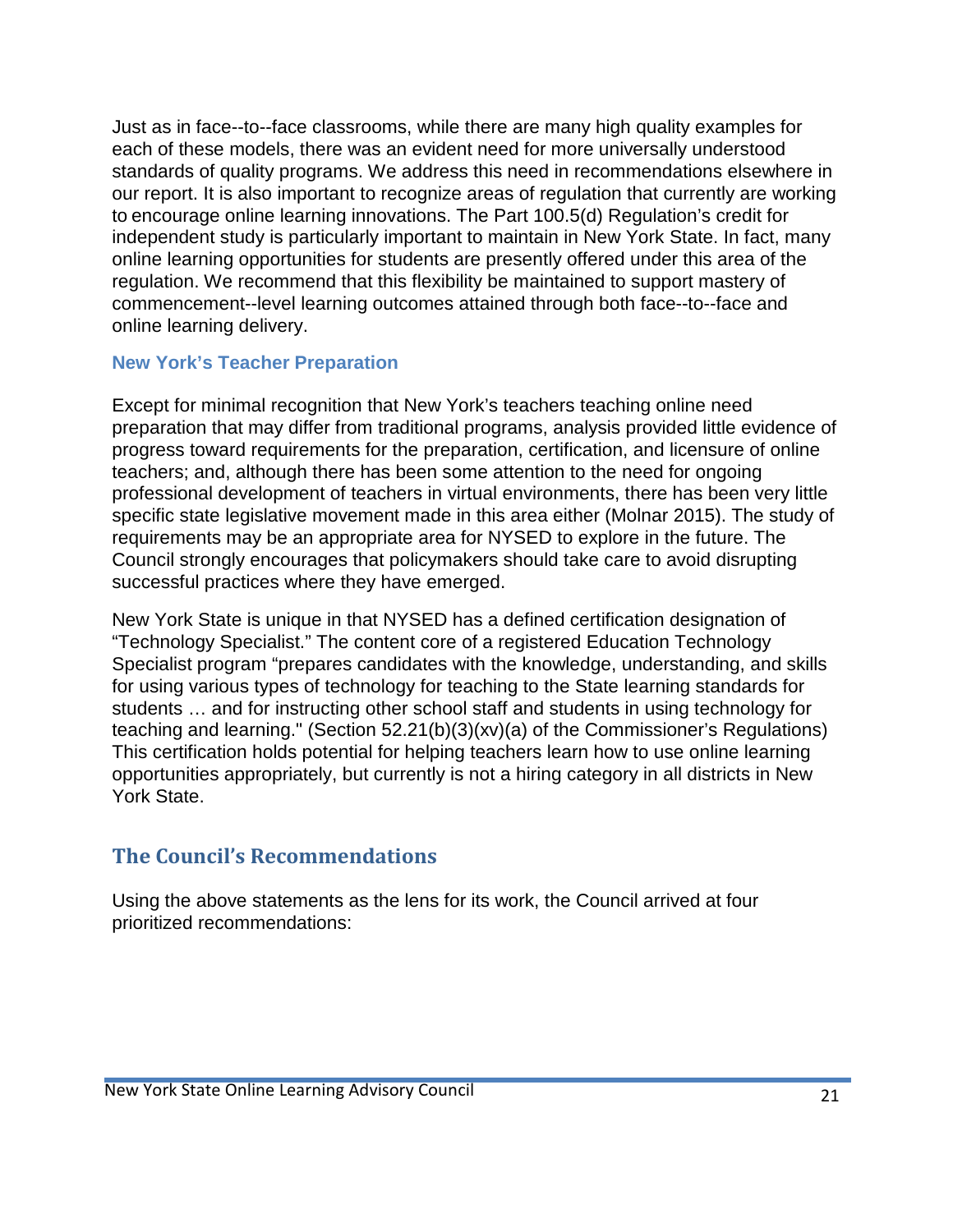Just as in face--to--face classrooms, while there are many high quality examples for each of these models, there was an evident need for more universally understood standards of quality programs. We address this need in recommendations elsewhere in our report. It is also important to recognize areas of regulation that currently are working to encourage online learning innovations. The Part 100.5(d) Regulation's credit for independent study is particularly important to maintain in New York State. In fact, many online learning opportunities for students are presently offered under this area of the regulation. We recommend that this flexibility be maintained to support mastery of commencement--level learning outcomes attained through both face--to--face and online learning delivery.

#### **New York's Teacher Preparation**

Except for minimal recognition that New York's teachers teaching online need preparation that may differ from traditional programs, analysis provided little evidence of progress toward requirements for the preparation, certification, and licensure of online teachers; and, although there has been some attention to the need for ongoing professional development of teachers in virtual environments, there has been very little specific state legislative movement made in this area either (Molnar 2015). The study of requirements may be an appropriate area for NYSED to explore in the future. The Council strongly encourages that policymakers should take care to avoid disrupting successful practices where they have emerged.

New York State is unique in that NYSED has a defined certification designation of "Technology Specialist." The content core of a registered Education Technology Specialist program "prepares candidates with the knowledge, understanding, and skills for using various types of technology for teaching to the State learning standards for students … and for instructing other school staff and students in using technology for teaching and learning." (Section 52.21(b)(3)(xv)(a) of the Commissioner's Regulations) This certification holds potential for helping teachers learn how to use online learning opportunities appropriately, but currently is not a hiring category in all districts in New York State.

# **The Council's Recommendations**

Using the above statements as the lens for its work, the Council arrived at four prioritized recommendations: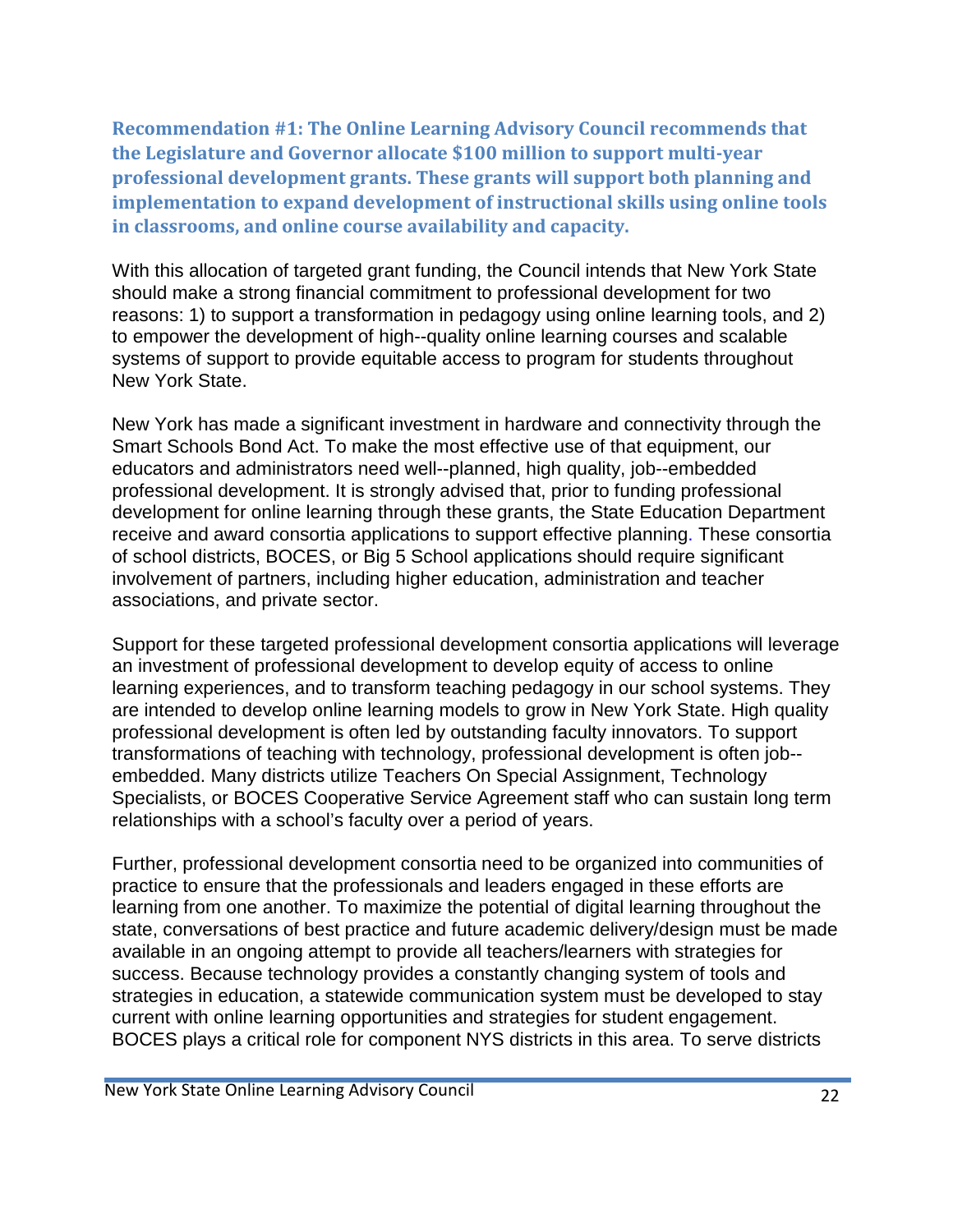**Recommendation #1: The Online Learning Advisory Council recommends that the Legislature and Governor allocate \$100 million to support multi-year professional development grants. These grants will support both planning and implementation to expand development of instructional skills using online tools in classrooms, and online course availability and capacity.**

With this allocation of targeted grant funding, the Council intends that New York State should make a strong financial commitment to professional development for two reasons: 1) to support a transformation in pedagogy using online learning tools, and 2) to empower the development of high--quality online learning courses and scalable systems of support to provide equitable access to program for students throughout New York State.

New York has made a significant investment in hardware and connectivity through the Smart Schools Bond Act. To make the most effective use of that equipment, our educators and administrators need well--planned, high quality, job--embedded professional development. It is strongly advised that, prior to funding professional development for online learning through these grants, the State Education Department receive and award consortia applications to support effective planning. These consortia of school districts, BOCES, or Big 5 School applications should require significant involvement of partners, including higher education, administration and teacher associations, and private sector.

Support for these targeted professional development consortia applications will leverage an investment of professional development to develop equity of access to online learning experiences, and to transform teaching pedagogy in our school systems. They are intended to develop online learning models to grow in New York State. High quality professional development is often led by outstanding faculty innovators. To support transformations of teaching with technology, professional development is often job- embedded. Many districts utilize Teachers On Special Assignment, Technology Specialists, or BOCES Cooperative Service Agreement staff who can sustain long term relationships with a school's faculty over a period of years.

Further, professional development consortia need to be organized into communities of practice to ensure that the professionals and leaders engaged in these efforts are learning from one another. To maximize the potential of digital learning throughout the state, conversations of best practice and future academic delivery/design must be made available in an ongoing attempt to provide all teachers/learners with strategies for success. Because technology provides a constantly changing system of tools and strategies in education, a statewide communication system must be developed to stay current with online learning opportunities and strategies for student engagement. BOCES plays a critical role for component NYS districts in this area. To serve districts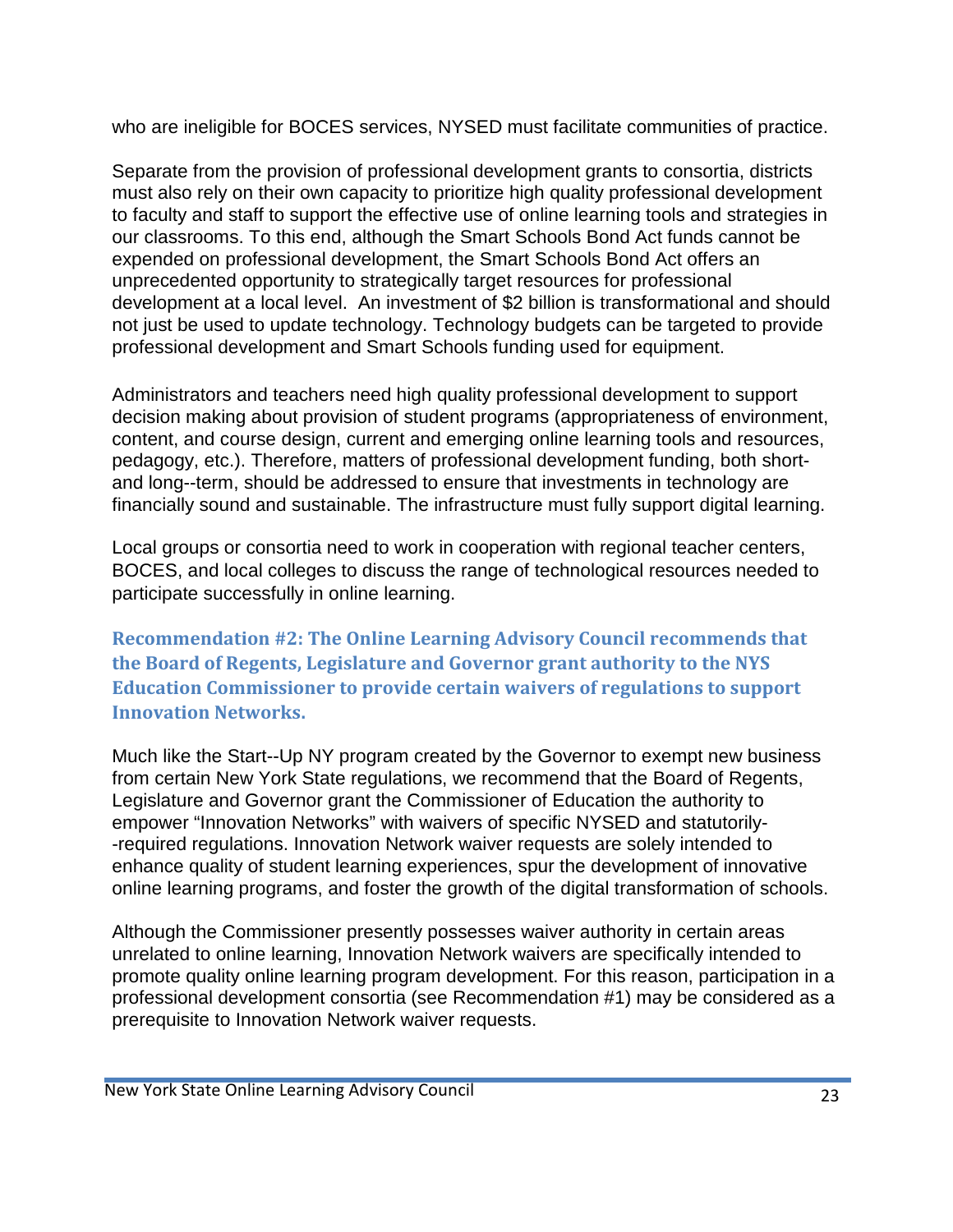who are ineligible for BOCES services, NYSED must facilitate communities of practice.

Separate from the provision of professional development grants to consortia, districts must also rely on their own capacity to prioritize high quality professional development to faculty and staff to support the effective use of online learning tools and strategies in our classrooms. To this end, although the Smart Schools Bond Act funds cannot be expended on professional development, the Smart Schools Bond Act offers an unprecedented opportunity to strategically target resources for professional development at a local level. An investment of \$2 billion is transformational and should not just be used to update technology. Technology budgets can be targeted to provide professional development and Smart Schools funding used for equipment.

Administrators and teachers need high quality professional development to support decision making about provision of student programs (appropriateness of environment, content, and course design, current and emerging online learning tools and resources, pedagogy, etc.). Therefore, matters of professional development funding, both shortand long--term, should be addressed to ensure that investments in technology are financially sound and sustainable. The infrastructure must fully support digital learning.

Local groups or consortia need to work in cooperation with regional teacher centers, BOCES, and local colleges to discuss the range of technological resources needed to participate successfully in online learning.

**Recommendation #2: The Online Learning Advisory Council recommends that the Board of Regents, Legislature and Governor grant authority to the NYS Education Commissioner to provide certain waivers of regulations to support Innovation Networks.**

Much like the Start--Up NY program created by the Governor to exempt new business from certain New York State regulations, we recommend that the Board of Regents, Legislature and Governor grant the Commissioner of Education the authority to empower "Innovation Networks" with waivers of specific NYSED and statutorily- -required regulations. Innovation Network waiver requests are solely intended to enhance quality of student learning experiences, spur the development of innovative online learning programs, and foster the growth of the digital transformation of schools.

Although the Commissioner presently possesses waiver authority in certain areas unrelated to online learning, Innovation Network waivers are specifically intended to promote quality online learning program development. For this reason, participation in a professional development consortia (see Recommendation #1) may be considered as a prerequisite to Innovation Network waiver requests.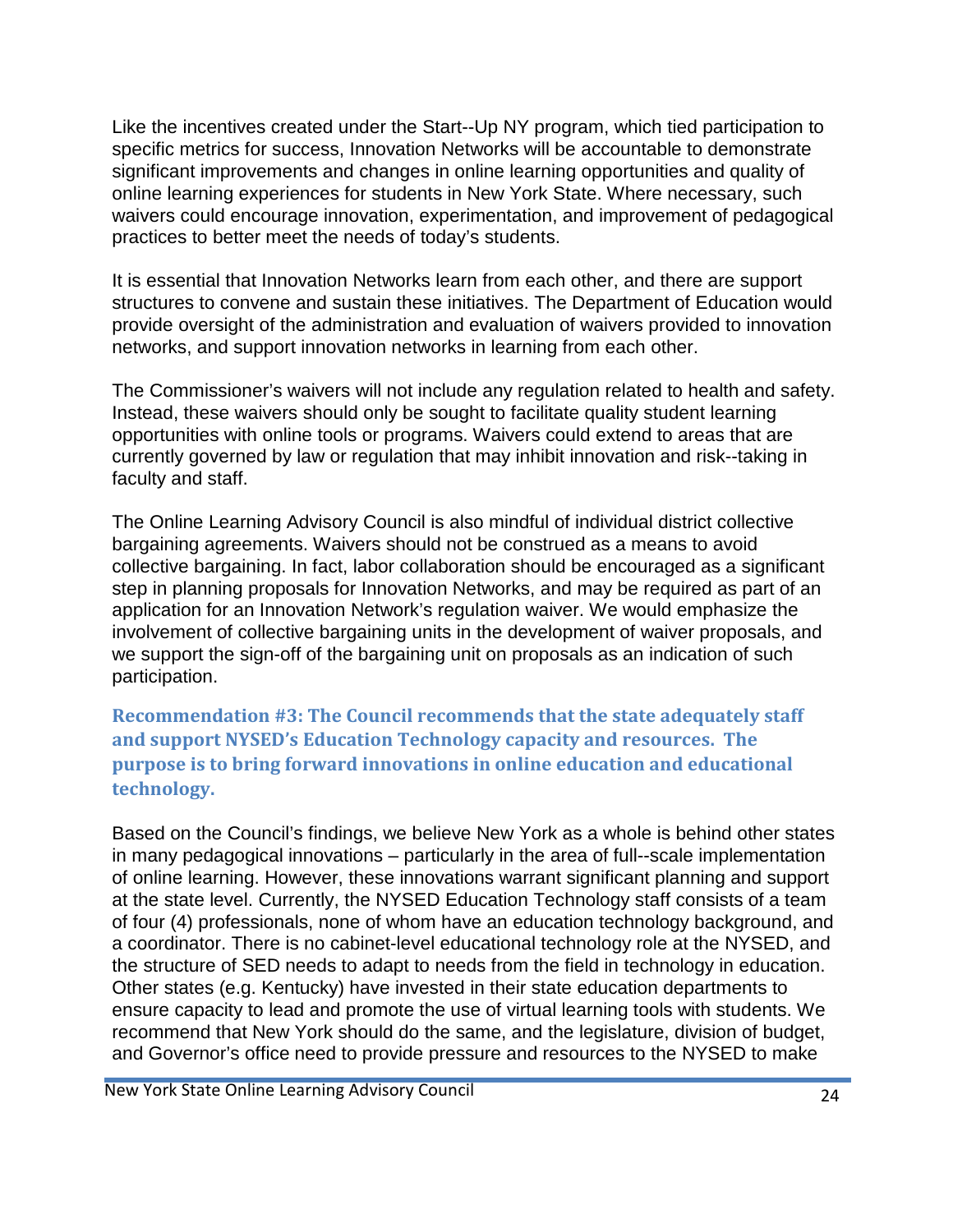Like the incentives created under the Start--Up NY program, which tied participation to specific metrics for success, Innovation Networks will be accountable to demonstrate significant improvements and changes in online learning opportunities and quality of online learning experiences for students in New York State. Where necessary, such waivers could encourage innovation, experimentation, and improvement of pedagogical practices to better meet the needs of today's students.

It is essential that Innovation Networks learn from each other, and there are support structures to convene and sustain these initiatives. The Department of Education would provide oversight of the administration and evaluation of waivers provided to innovation networks, and support innovation networks in learning from each other.

The Commissioner's waivers will not include any regulation related to health and safety. Instead, these waivers should only be sought to facilitate quality student learning opportunities with online tools or programs. Waivers could extend to areas that are currently governed by law or regulation that may inhibit innovation and risk--taking in faculty and staff.

The Online Learning Advisory Council is also mindful of individual district collective bargaining agreements. Waivers should not be construed as a means to avoid collective bargaining. In fact, labor collaboration should be encouraged as a significant step in planning proposals for Innovation Networks, and may be required as part of an application for an Innovation Network's regulation waiver. We would emphasize the involvement of collective bargaining units in the development of waiver proposals, and we support the sign-off of the bargaining unit on proposals as an indication of such participation.

**Recommendation #3: The Council recommends that the state adequately staff and support NYSED's Education Technology capacity and resources. The purpose is to bring forward innovations in online education and educational technology.**

Based on the Council's findings, we believe New York as a whole is behind other states in many pedagogical innovations – particularly in the area of full--scale implementation of online learning. However, these innovations warrant significant planning and support at the state level. Currently, the NYSED Education Technology staff consists of a team of four (4) professionals, none of whom have an education technology background, and a coordinator. There is no cabinet-level educational technology role at the NYSED, and the structure of SED needs to adapt to needs from the field in technology in education. Other states (e.g. Kentucky) have invested in their state education departments to ensure capacity to lead and promote the use of virtual learning tools with students. We recommend that New York should do the same, and the legislature, division of budget, and Governor's office need to provide pressure and resources to the NYSED to make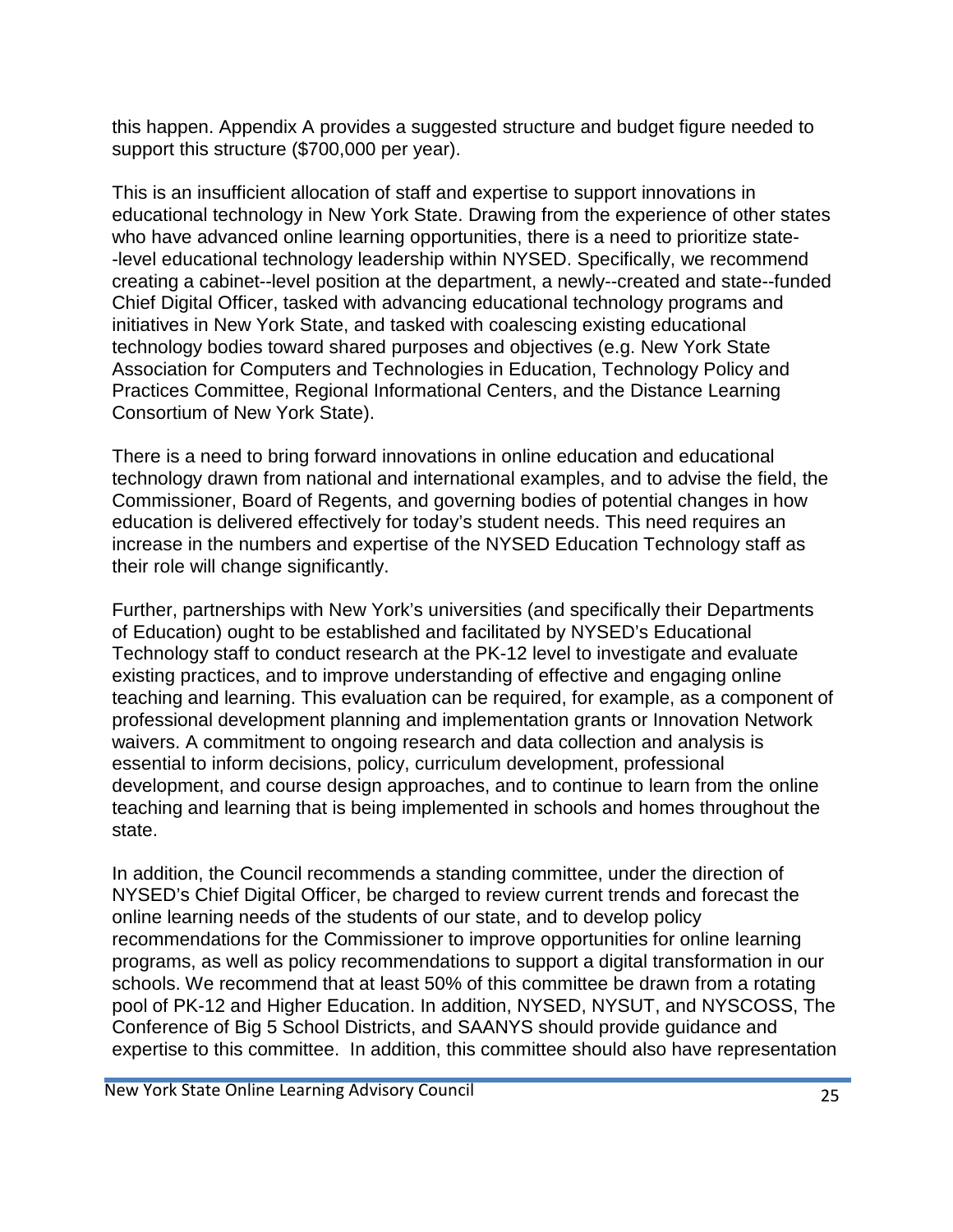this happen. Appendix A provides a suggested structure and budget figure needed to support this structure (\$700,000 per year).

This is an insufficient allocation of staff and expertise to support innovations in educational technology in New York State. Drawing from the experience of other states who have advanced online learning opportunities, there is a need to prioritize state- -level educational technology leadership within NYSED. Specifically, we recommend creating a cabinet--level position at the department, a newly--created and state--funded Chief Digital Officer, tasked with advancing educational technology programs and initiatives in New York State, and tasked with coalescing existing educational technology bodies toward shared purposes and objectives (e.g. New York State Association for Computers and Technologies in Education, Technology Policy and Practices Committee, Regional Informational Centers, and the Distance Learning Consortium of New York State).

There is a need to bring forward innovations in online education and educational technology drawn from national and international examples, and to advise the field, the Commissioner, Board of Regents, and governing bodies of potential changes in how education is delivered effectively for today's student needs. This need requires an increase in the numbers and expertise of the NYSED Education Technology staff as their role will change significantly.

Further, partnerships with New York's universities (and specifically their Departments of Education) ought to be established and facilitated by NYSED's Educational Technology staff to conduct research at the PK-12 level to investigate and evaluate existing practices, and to improve understanding of effective and engaging online teaching and learning. This evaluation can be required, for example, as a component of professional development planning and implementation grants or Innovation Network waivers. A commitment to ongoing research and data collection and analysis is essential to inform decisions, policy, curriculum development, professional development, and course design approaches, and to continue to learn from the online teaching and learning that is being implemented in schools and homes throughout the state.

In addition, the Council recommends a standing committee, under the direction of NYSED's Chief Digital Officer, be charged to review current trends and forecast the online learning needs of the students of our state, and to develop policy recommendations for the Commissioner to improve opportunities for online learning programs, as well as policy recommendations to support a digital transformation in our schools. We recommend that at least 50% of this committee be drawn from a rotating pool of PK-12 and Higher Education. In addition, NYSED, NYSUT, and NYSCOSS, The Conference of Big 5 School Districts, and SAANYS should provide guidance and expertise to this committee. In addition, this committee should also have representation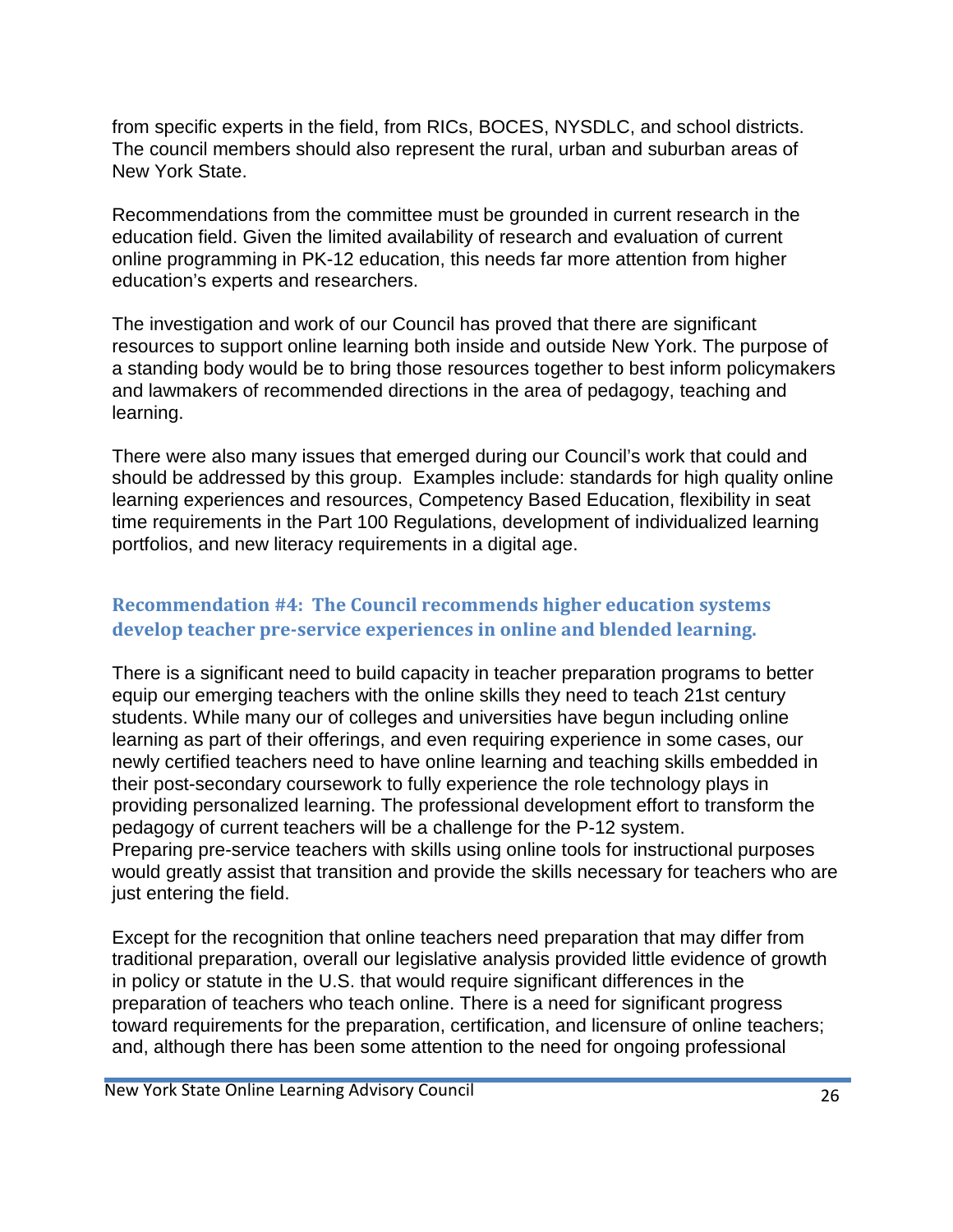from specific experts in the field, from RICs, BOCES, NYSDLC, and school districts. The council members should also represent the rural, urban and suburban areas of New York State.

Recommendations from the committee must be grounded in current research in the education field. Given the limited availability of research and evaluation of current online programming in PK-12 education, this needs far more attention from higher education's experts and researchers.

The investigation and work of our Council has proved that there are significant resources to support online learning both inside and outside New York. The purpose of a standing body would be to bring those resources together to best inform policymakers and lawmakers of recommended directions in the area of pedagogy, teaching and learning.

There were also many issues that emerged during our Council's work that could and should be addressed by this group. Examples include: standards for high quality online learning experiences and resources, Competency Based Education, flexibility in seat time requirements in the Part 100 Regulations, development of individualized learning portfolios, and new literacy requirements in a digital age.

### **Recommendation #4: The Council recommends higher education systems develop teacher pre-service experiences in online and blended learning.**

There is a significant need to build capacity in teacher preparation programs to better equip our emerging teachers with the online skills they need to teach 21st century students. While many our of colleges and universities have begun including online learning as part of their offerings, and even requiring experience in some cases, our newly certified teachers need to have online learning and teaching skills embedded in their post-secondary coursework to fully experience the role technology plays in providing personalized learning. The professional development effort to transform the pedagogy of current teachers will be a challenge for the P-12 system. Preparing pre-service teachers with skills using online tools for instructional purposes would greatly assist that transition and provide the skills necessary for teachers who are just entering the field.

Except for the recognition that online teachers need preparation that may differ from traditional preparation, overall our legislative analysis provided little evidence of growth in policy or statute in the U.S. that would require significant differences in the preparation of teachers who teach online. There is a need for significant progress toward requirements for the preparation, certification, and licensure of online teachers; and, although there has been some attention to the need for ongoing professional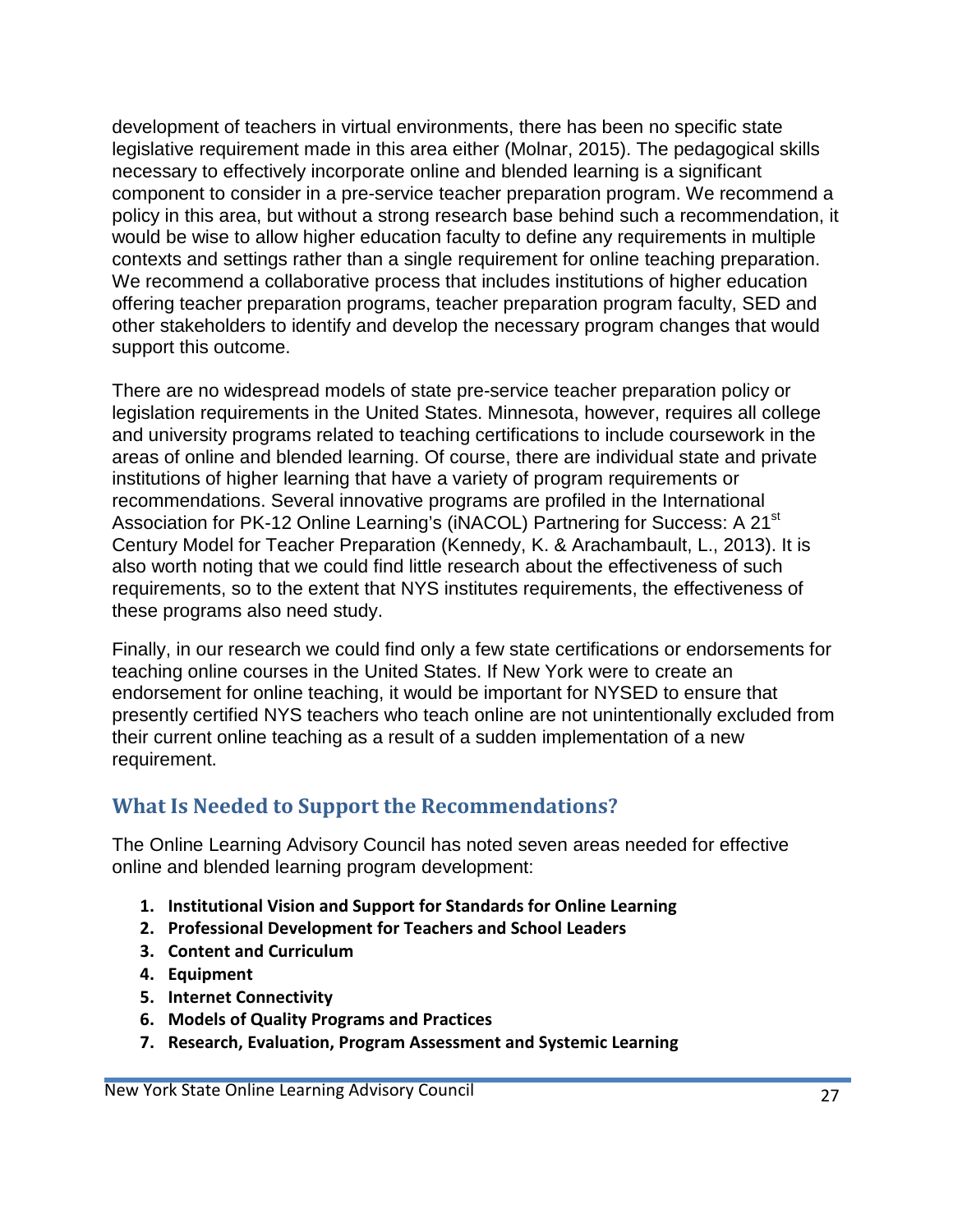development of teachers in virtual environments, there has been no specific state legislative requirement made in this area either (Molnar, 2015). The pedagogical skills necessary to effectively incorporate online and blended learning is a significant component to consider in a pre-service teacher preparation program. We recommend a policy in this area, but without a strong research base behind such a recommendation, it would be wise to allow higher education faculty to define any requirements in multiple contexts and settings rather than a single requirement for online teaching preparation. We recommend a collaborative process that includes institutions of higher education offering teacher preparation programs, teacher preparation program faculty, SED and other stakeholders to identify and develop the necessary program changes that would support this outcome.

There are no widespread models of state pre-service teacher preparation policy or legislation requirements in the United States. Minnesota, however, requires all college and university programs related to teaching certifications to include coursework in the areas of online and blended learning. Of course, there are individual state and private institutions of higher learning that have a variety of program requirements or recommendations. Several innovative programs are profiled in the International Association for PK-12 Online Learning's (iNACOL) Partnering for Success: A 21<sup>st</sup> Century Model for Teacher Preparation (Kennedy, K. & Arachambault, L., 2013). It is also worth noting that we could find little research about the effectiveness of such requirements, so to the extent that NYS institutes requirements, the effectiveness of these programs also need study.

Finally, in our research we could find only a few state certifications or endorsements for teaching online courses in the United States. If New York were to create an endorsement for online teaching, it would be important for NYSED to ensure that presently certified NYS teachers who teach online are not unintentionally excluded from their current online teaching as a result of a sudden implementation of a new requirement.

# **What Is Needed to Support the Recommendations?**

The Online Learning Advisory Council has noted seven areas needed for effective online and blended learning program development:

- **1. Institutional Vision and Support for Standards for Online Learning**
- **2. Professional Development for Teachers and School Leaders**
- **3. Content and Curriculum**
- **4. Equipment**
- **5. Internet Connectivity**
- **6. Models of Quality Programs and Practices**
- **7. Research, Evaluation, Program Assessment and Systemic Learning**

New York State Online Learning Advisory Council 27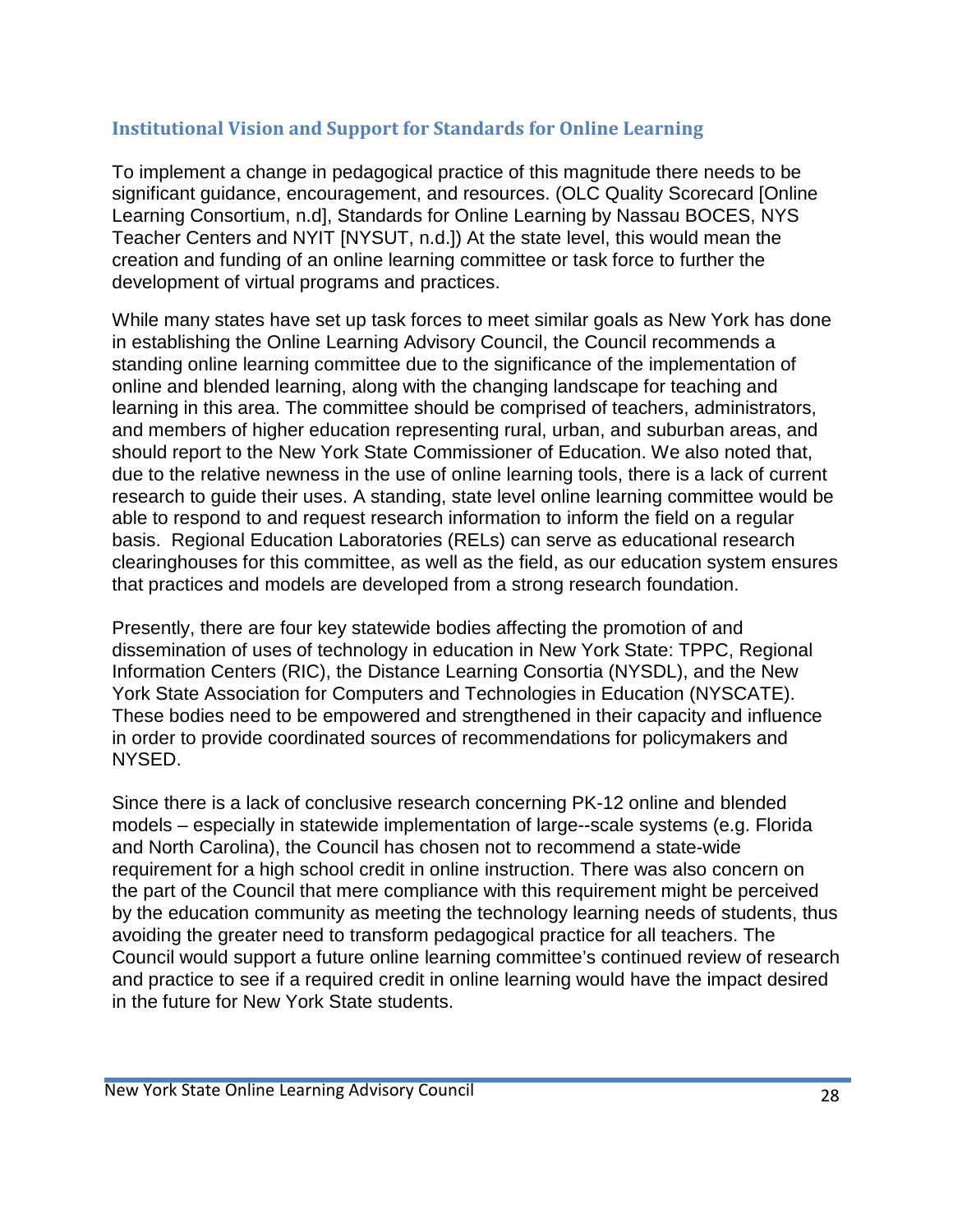## **Institutional Vision and Support for Standards for Online Learning**

To implement a change in pedagogical practice of this magnitude there needs to be significant guidance, encouragement, and resources. (OLC Quality Scorecard [Online Learning Consortium, n.d], Standards for Online Learning by Nassau BOCES, NYS Teacher Centers and NYIT [NYSUT, n.d.]) At the state level, this would mean the creation and funding of an online learning committee or task force to further the development of virtual programs and practices.

While many states have set up task forces to meet similar goals as New York has done in establishing the Online Learning Advisory Council, the Council recommends a standing online learning committee due to the significance of the implementation of online and blended learning, along with the changing landscape for teaching and learning in this area. The committee should be comprised of teachers, administrators, and members of higher education representing rural, urban, and suburban areas, and should report to the New York State Commissioner of Education. We also noted that, due to the relative newness in the use of online learning tools, there is a lack of current research to guide their uses. A standing, state level online learning committee would be able to respond to and request research information to inform the field on a regular basis. Regional Education Laboratories (RELs) can serve as educational research clearinghouses for this committee, as well as the field, as our education system ensures that practices and models are developed from a strong research foundation.

Presently, there are four key statewide bodies affecting the promotion of and dissemination of uses of technology in education in New York State: TPPC, Regional Information Centers (RIC), the Distance Learning Consortia (NYSDL), and the New York State Association for Computers and Technologies in Education (NYSCATE). These bodies need to be empowered and strengthened in their capacity and influence in order to provide coordinated sources of recommendations for policymakers and NYSED.

Since there is a lack of conclusive research concerning PK-12 online and blended models – especially in statewide implementation of large--scale systems (e.g. Florida and North Carolina), the Council has chosen not to recommend a state-wide requirement for a high school credit in online instruction. There was also concern on the part of the Council that mere compliance with this requirement might be perceived by the education community as meeting the technology learning needs of students, thus avoiding the greater need to transform pedagogical practice for all teachers. The Council would support a future online learning committee's continued review of research and practice to see if a required credit in online learning would have the impact desired in the future for New York State students.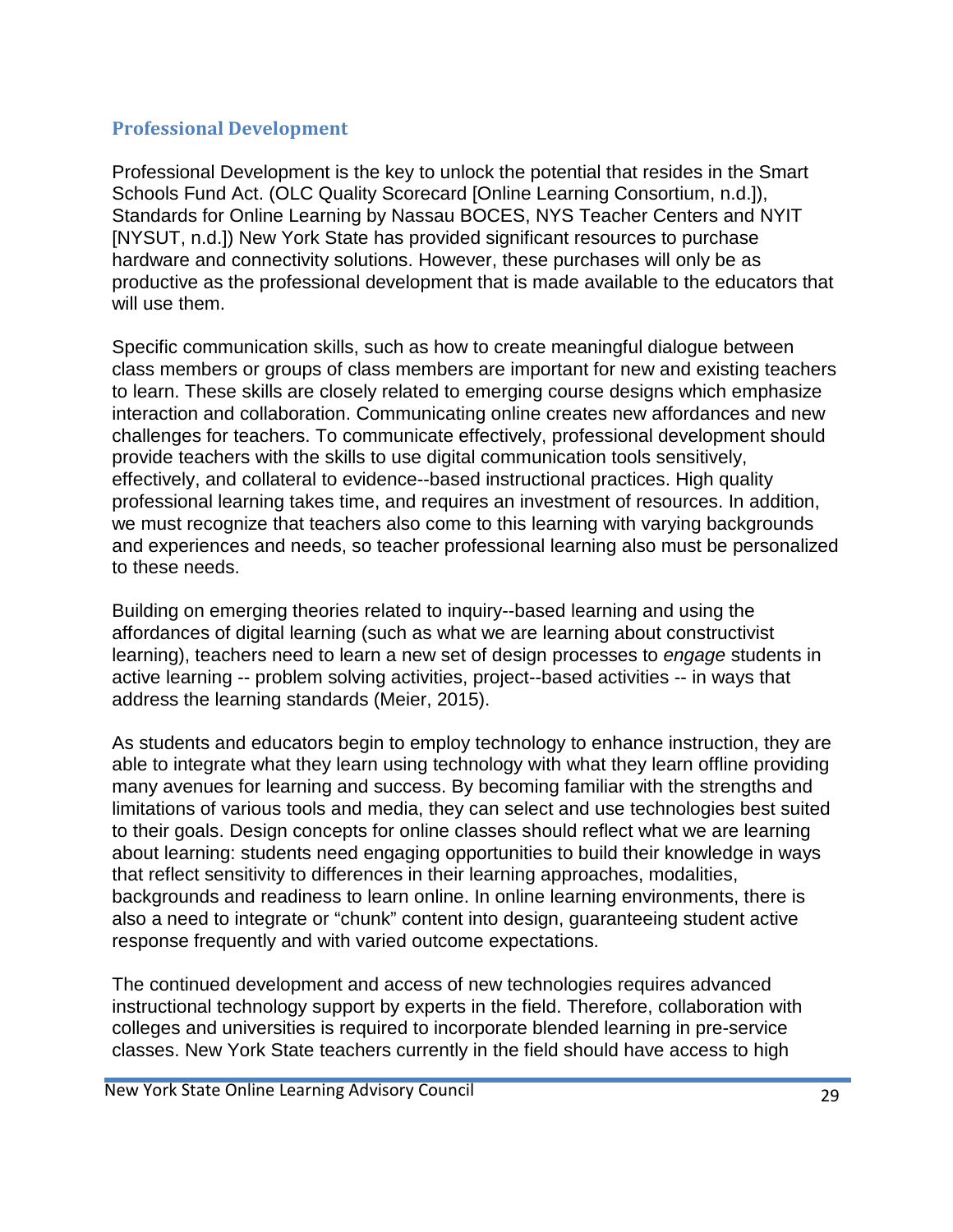### **Professional Development**

Professional Development is the key to unlock the potential that resides in the Smart Schools Fund Act. (OLC Quality Scorecard [Online Learning Consortium, n.d.]), Standards for Online Learning by Nassau BOCES, NYS Teacher Centers and NYIT [NYSUT, n.d.]) New York State has provided significant resources to purchase hardware and connectivity solutions. However, these purchases will only be as productive as the professional development that is made available to the educators that will use them.

Specific communication skills, such as how to create meaningful dialogue between class members or groups of class members are important for new and existing teachers to learn. These skills are closely related to emerging course designs which emphasize interaction and collaboration. Communicating online creates new affordances and new challenges for teachers. To communicate effectively, professional development should provide teachers with the skills to use digital communication tools sensitively, effectively, and collateral to evidence--based instructional practices. High quality professional learning takes time, and requires an investment of resources. In addition, we must recognize that teachers also come to this learning with varying backgrounds and experiences and needs, so teacher professional learning also must be personalized to these needs.

Building on emerging theories related to inquiry--based learning and using the affordances of digital learning (such as what we are learning about constructivist learning), teachers need to learn a new set of design processes to *engage* students in active learning -- problem solving activities, project--based activities -- in ways that address the learning standards (Meier, 2015).

As students and educators begin to employ technology to enhance instruction, they are able to integrate what they learn using technology with what they learn offline providing many avenues for learning and success. By becoming familiar with the strengths and limitations of various tools and media, they can select and use technologies best suited to their goals. Design concepts for online classes should reflect what we are learning about learning: students need engaging opportunities to build their knowledge in ways that reflect sensitivity to differences in their learning approaches, modalities, backgrounds and readiness to learn online. In online learning environments, there is also a need to integrate or "chunk" content into design, guaranteeing student active response frequently and with varied outcome expectations.

The continued development and access of new technologies requires advanced instructional technology support by experts in the field. Therefore, collaboration with colleges and universities is required to incorporate blended learning in pre-service classes. New York State teachers currently in the field should have access to high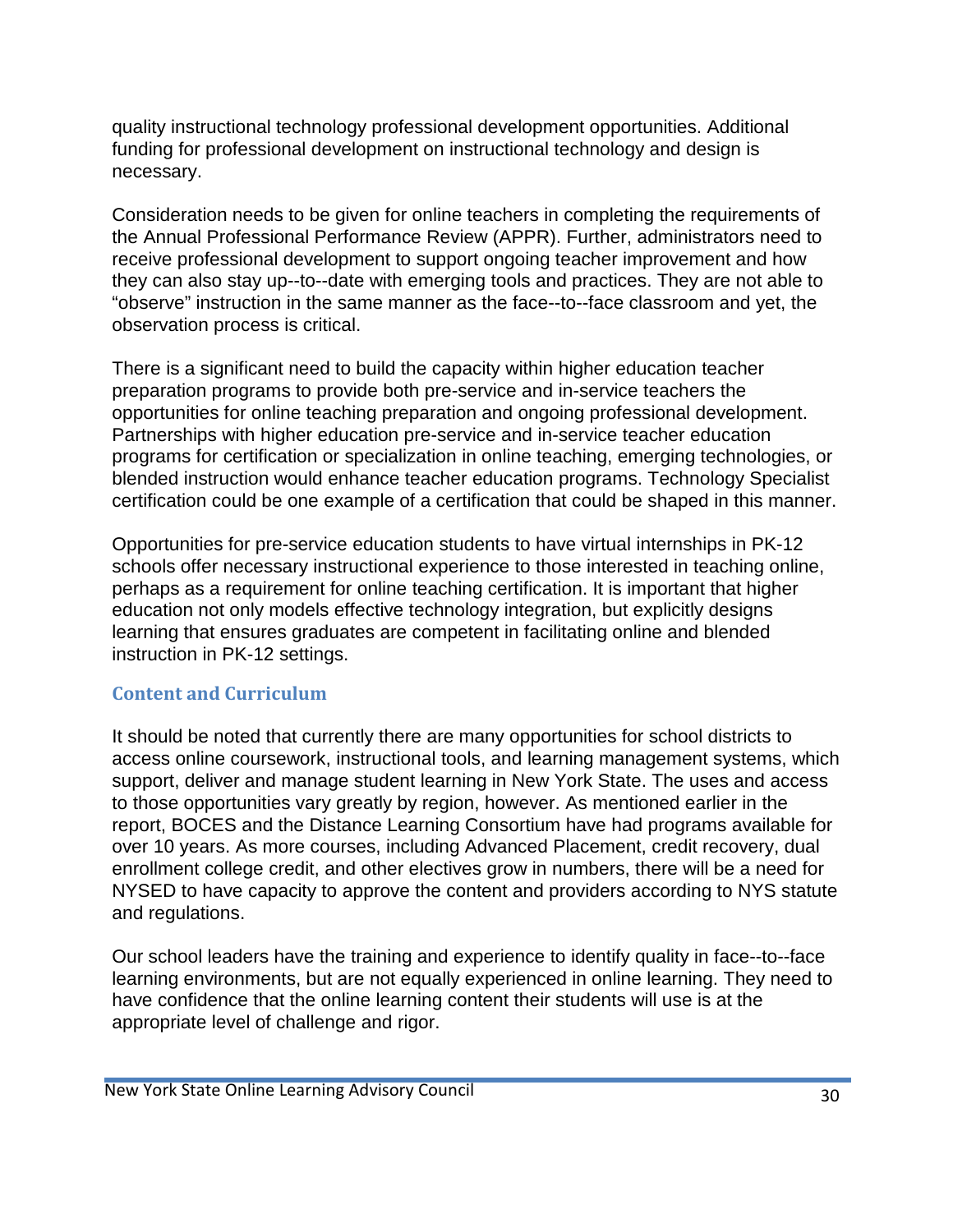quality instructional technology professional development opportunities. Additional funding for professional development on instructional technology and design is necessary.

Consideration needs to be given for online teachers in completing the requirements of the Annual Professional Performance Review (APPR). Further, administrators need to receive professional development to support ongoing teacher improvement and how they can also stay up--to--date with emerging tools and practices. They are not able to "observe" instruction in the same manner as the face--to--face classroom and yet, the observation process is critical.

There is a significant need to build the capacity within higher education teacher preparation programs to provide both pre-service and in-service teachers the opportunities for online teaching preparation and ongoing professional development. Partnerships with higher education pre-service and in-service teacher education programs for certification or specialization in online teaching, emerging technologies, or blended instruction would enhance teacher education programs. Technology Specialist certification could be one example of a certification that could be shaped in this manner.

Opportunities for pre-service education students to have virtual internships in PK-12 schools offer necessary instructional experience to those interested in teaching online, perhaps as a requirement for online teaching certification. It is important that higher education not only models effective technology integration, but explicitly designs learning that ensures graduates are competent in facilitating online and blended instruction in PK-12 settings.

#### **Content and Curriculum**

It should be noted that currently there are many opportunities for school districts to access online coursework, instructional tools, and learning management systems, which support, deliver and manage student learning in New York State. The uses and access to those opportunities vary greatly by region, however. As mentioned earlier in the report, BOCES and the Distance Learning Consortium have had programs available for over 10 years. As more courses, including Advanced Placement, credit recovery, dual enrollment college credit, and other electives grow in numbers, there will be a need for NYSED to have capacity to approve the content and providers according to NYS statute and regulations.

Our school leaders have the training and experience to identify quality in face--to--face learning environments, but are not equally experienced in online learning. They need to have confidence that the online learning content their students will use is at the appropriate level of challenge and rigor.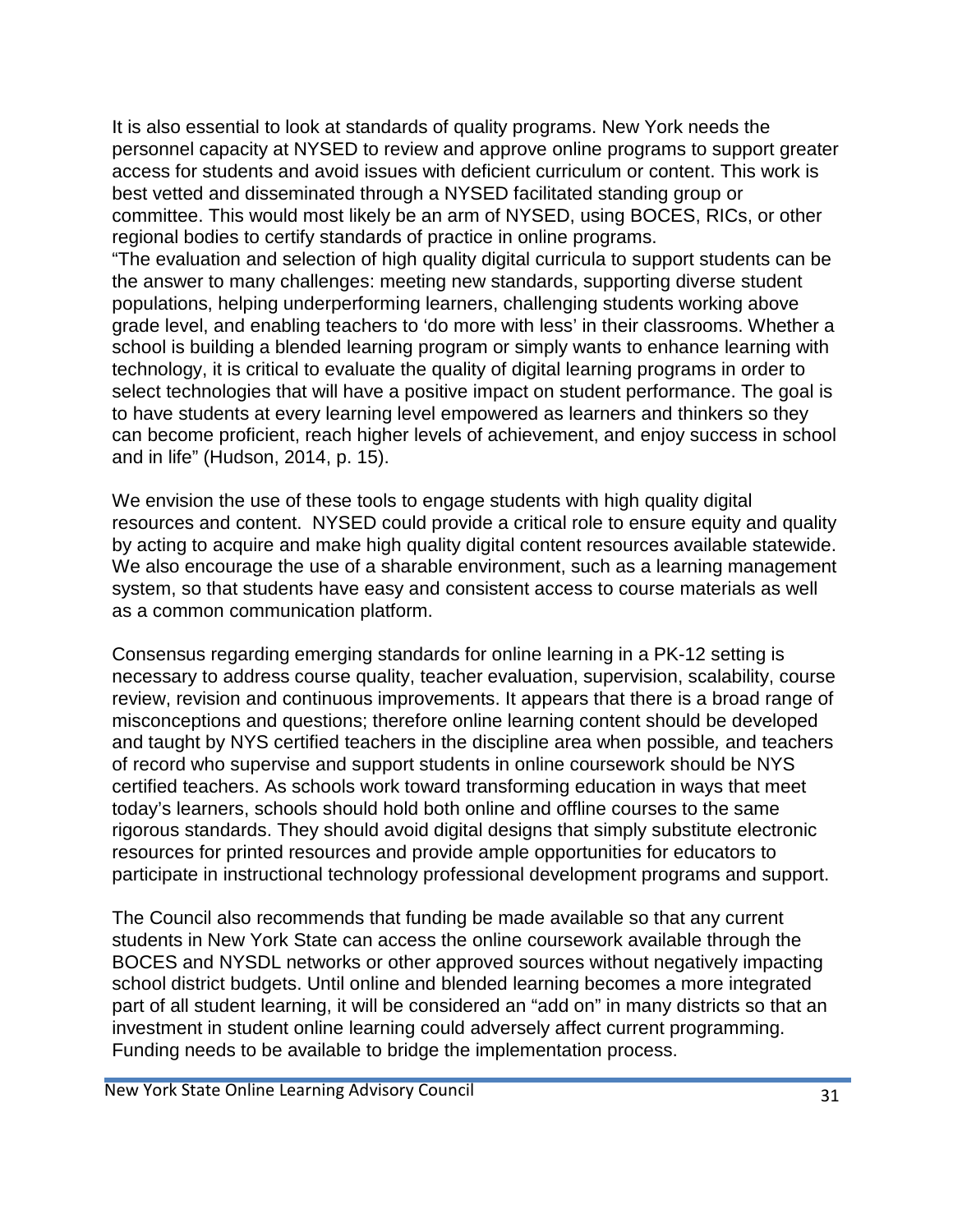It is also essential to look at standards of quality programs. New York needs the personnel capacity at NYSED to review and approve online programs to support greater access for students and avoid issues with deficient curriculum or content. This work is best vetted and disseminated through a NYSED facilitated standing group or committee. This would most likely be an arm of NYSED, using BOCES, RICs, or other regional bodies to certify standards of practice in online programs.

"The evaluation and selection of high quality digital curricula to support students can be the answer to many challenges: meeting new standards, supporting diverse student populations, helping underperforming learners, challenging students working above grade level, and enabling teachers to 'do more with less' in their classrooms. Whether a school is building a blended learning program or simply wants to enhance learning with technology, it is critical to evaluate the quality of digital learning programs in order to select technologies that will have a positive impact on student performance. The goal is to have students at every learning level empowered as learners and thinkers so they can become proficient, reach higher levels of achievement, and enjoy success in school and in life" (Hudson, 2014, p. 15).

We envision the use of these tools to engage students with high quality digital resources and content. NYSED could provide a critical role to ensure equity and quality by acting to acquire and make high quality digital content resources available statewide. We also encourage the use of a sharable environment, such as a learning management system, so that students have easy and consistent access to course materials as well as a common communication platform.

Consensus regarding emerging standards for online learning in a PK-12 setting is necessary to address course quality, teacher evaluation, supervision, scalability, course review, revision and continuous improvements. It appears that there is a broad range of misconceptions and questions; therefore online learning content should be developed and taught by NYS certified teachers in the discipline area when possible*,* and teachers of record who supervise and support students in online coursework should be NYS certified teachers. As schools work toward transforming education in ways that meet today's learners, schools should hold both online and offline courses to the same rigorous standards. They should avoid digital designs that simply substitute electronic resources for printed resources and provide ample opportunities for educators to participate in instructional technology professional development programs and support.

The Council also recommends that funding be made available so that any current students in New York State can access the online coursework available through the BOCES and NYSDL networks or other approved sources without negatively impacting school district budgets. Until online and blended learning becomes a more integrated part of all student learning, it will be considered an "add on" in many districts so that an investment in student online learning could adversely affect current programming. Funding needs to be available to bridge the implementation process.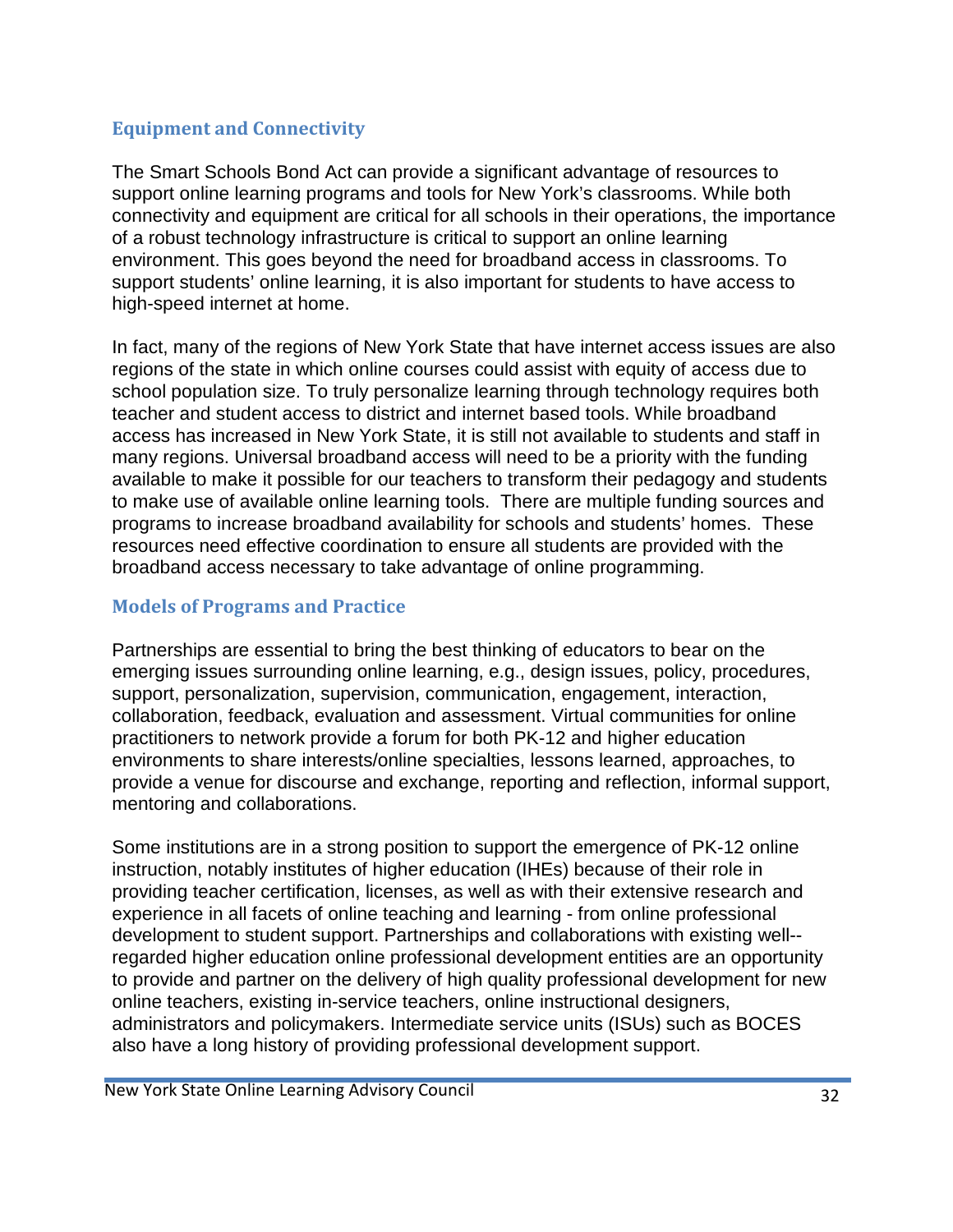# **Equipment and Connectivity**

The Smart Schools Bond Act can provide a significant advantage of resources to support online learning programs and tools for New York's classrooms. While both connectivity and equipment are critical for all schools in their operations, the importance of a robust technology infrastructure is critical to support an online learning environment. This goes beyond the need for broadband access in classrooms. To support students' online learning, it is also important for students to have access to high-speed internet at home.

In fact, many of the regions of New York State that have internet access issues are also regions of the state in which online courses could assist with equity of access due to school population size. To truly personalize learning through technology requires both teacher and student access to district and internet based tools. While broadband access has increased in New York State, it is still not available to students and staff in many regions. Universal broadband access will need to be a priority with the funding available to make it possible for our teachers to transform their pedagogy and students to make use of available online learning tools. There are multiple funding sources and programs to increase broadband availability for schools and students' homes. These resources need effective coordination to ensure all students are provided with the broadband access necessary to take advantage of online programming.

## **Models of Programs and Practice**

Partnerships are essential to bring the best thinking of educators to bear on the emerging issues surrounding online learning, e.g., design issues, policy, procedures, support, personalization, supervision, communication, engagement, interaction, collaboration, feedback, evaluation and assessment. Virtual communities for online practitioners to network provide a forum for both PK-12 and higher education environments to share interests/online specialties, lessons learned, approaches, to provide a venue for discourse and exchange, reporting and reflection, informal support, mentoring and collaborations.

Some institutions are in a strong position to support the emergence of PK-12 online instruction, notably institutes of higher education (IHEs) because of their role in providing teacher certification, licenses, as well as with their extensive research and experience in all facets of online teaching and learning - from online professional development to student support. Partnerships and collaborations with existing well- regarded higher education online professional development entities are an opportunity to provide and partner on the delivery of high quality professional development for new online teachers, existing in-service teachers, online instructional designers, administrators and policymakers. Intermediate service units (ISUs) such as BOCES also have a long history of providing professional development support.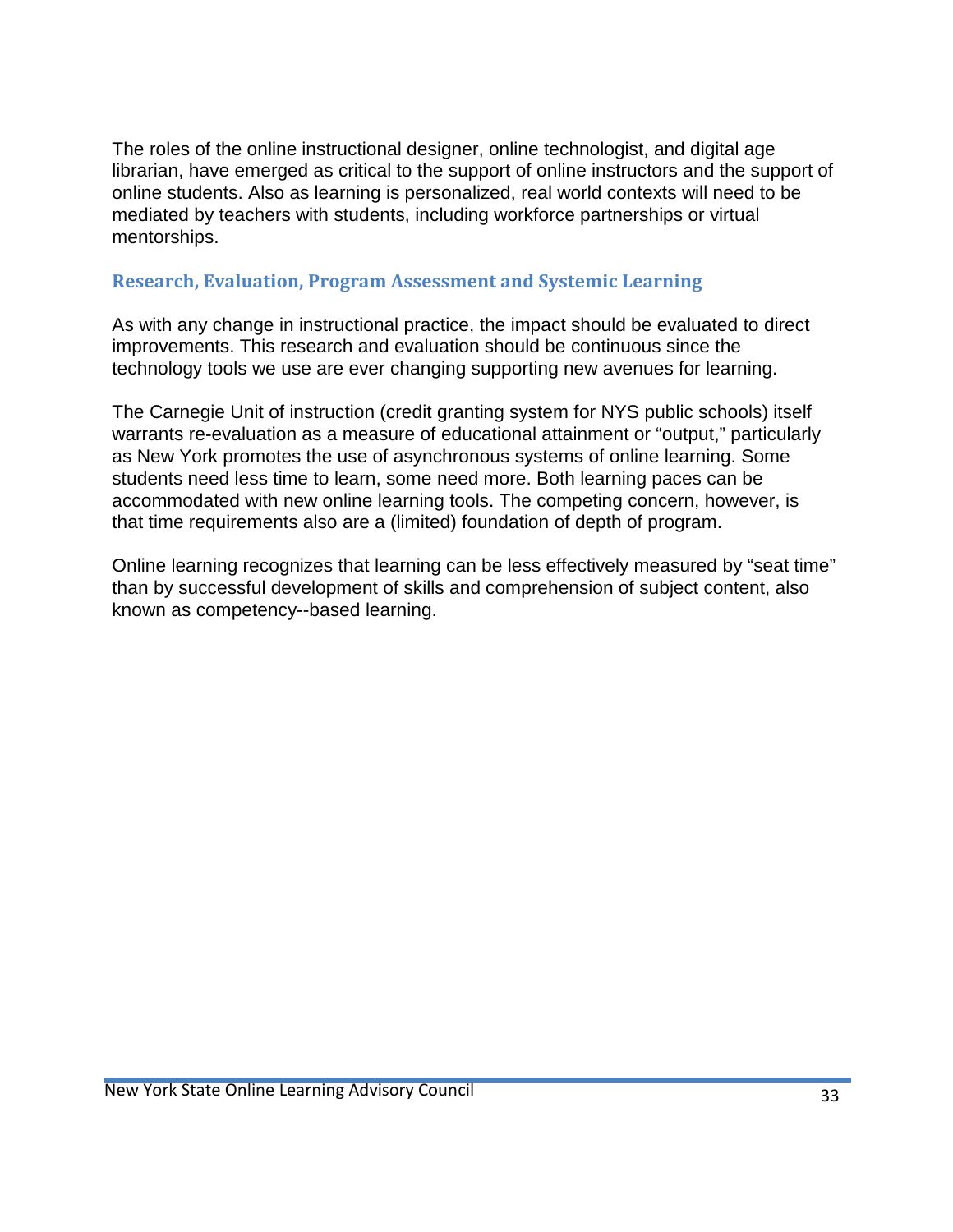The roles of the online instructional designer, online technologist, and digital age librarian, have emerged as critical to the support of online instructors and the support of online students. Also as learning is personalized, real world contexts will need to be mediated by teachers with students, including workforce partnerships or virtual mentorships.

### **Research, Evaluation, Program Assessment and Systemic Learning**

As with any change in instructional practice, the impact should be evaluated to direct improvements. This research and evaluation should be continuous since the technology tools we use are ever changing supporting new avenues for learning.

The Carnegie Unit of instruction (credit granting system for NYS public schools) itself warrants re-evaluation as a measure of educational attainment or "output," particularly as New York promotes the use of asynchronous systems of online learning. Some students need less time to learn, some need more. Both learning paces can be accommodated with new online learning tools. The competing concern, however, is that time requirements also are a (limited) foundation of depth of program.

Online learning recognizes that learning can be less effectively measured by "seat time" than by successful development of skills and comprehension of subject content, also known as competency--based learning.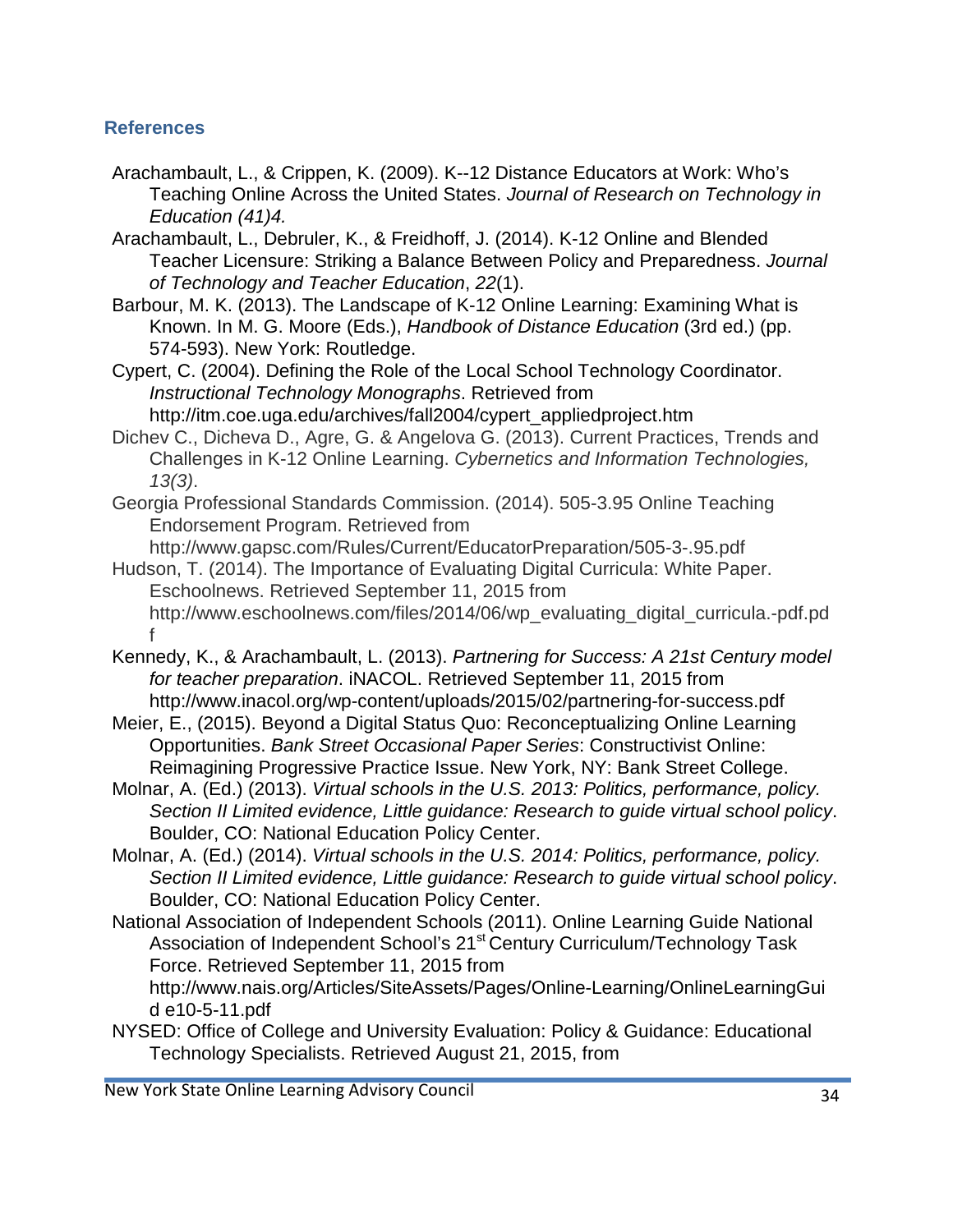## **References**

- Arachambault, L., & Crippen, K. (2009). K--12 Distance Educators at Work: Who's Teaching Online Across the United States. *Journal of Research on Technology in Education (41)4.*
- Arachambault, L., Debruler, K., & Freidhoff, J. (2014). K-12 Online and Blended Teacher Licensure: Striking a Balance Between Policy and Preparedness. *Journal of Technology and Teacher Education*, *22*(1).
- Barbour, M. K. (2013). The Landscape of K-12 Online Learning: Examining What is Known. In M. G. Moore (Eds.), *Handbook of Distance Education* (3rd ed.) (pp. 574-593). New York: Routledge.
- Cypert, C. (2004). Defining the Role of the Local School T[echnology Coordinator.](http://itm.coe.uga.edu/archives/fall2004/cypert_appliedproject.htm) *Instructional Technology Monographs*. Retrieved from [http://itm.coe.uga.edu/archives/fall2004/cypert\\_appliedproject.htm](http://itm.coe.uga.edu/archives/fall2004/cypert_appliedproject.htm)
- Dichev C., Dicheva D., Agre, G. & Angelova G. (2013). Current Practices, Trends and Challenges in K-12 Online Learning. *Cybernetics and Information Technologies, 13(3)*.
- Georgia Professional Standards Commission. (2014). 505-3.95 Online Teaching Endorsement Program. Retrieved fro[m](http://www.gapsc.com/Rules/Current/EducatorPreparation/505)
	- [http://www.gapsc.com/Rules/Current/EducatorPreparation/505-](http://www.gapsc.com/Rules/Current/EducatorPreparation/505)3-.95.pdf
- Hudson, T. (2014). The Importance of Evaluating Digital Curricula: White Paper. Eschoolnews. Retrieved September 11, 2015 fro[m](http://www.eschoolnews.com/files/2014/06/wp_evaluating_digital_curricula) [http://www.eschoolnews.com/files/2014/06/wp\\_evaluating\\_digital\\_curricula.-](http://www.eschoolnews.com/files/2014/06/wp_evaluating_digital_curricula)pdf.pd f
- Kennedy, K., & Arachambault, L. (2013). *Partnering for Success: A 21st Century model for teacher preparation*. iNACOL. Retrieved September 11, 2015 fro[m](http://www.inacol.org/wp) [http://www.inacol.org/wp-](http://www.inacol.org/wp)content/uploads/2015/02/partnering-for-success.pdf
- Meier, E., (2015). Beyond a Digital Status Quo: Reconceptualizing Online Learning Opportunities. *Bank Street Occasional Paper Series*: Constructivist Online: Reimagining Progressive Practice Issue. New York, NY: Bank Street College.
- Molnar, A. (Ed.) (2013). *Virtual schools in the U.S. 2013: Politics, performance, policy. Section II Limited evidence, Little guidance: Research to guide virtual school policy*. Boulder, CO: National Education Policy Center.
- Molnar, A. (Ed.) (2014). *Virtual schools in the U.S. 2014: Politics, performance, policy. Section II Limited evidence, Little guidance: Research to guide virtual school policy*. Boulder, CO: National Education Policy Center.
- National Association of Independent Schools (2011). Online Learning Guide National Association of Independent School's 21<sup>st</sup> Century Curriculum/Technology Task Force. Retrieved September 11, 2015 fro[m](http://www.nais.org/Articles/SiteAssets/Pages/Online) [http://www.nais.org/Articles/SiteAssets/Pages/Online-](http://www.nais.org/Articles/SiteAssets/Pages/Online)Learning/OnlineLearningGui

d e10-5-11.pdf

NYSED: Office of College and University Evaluation: Policy & Guidance: Educational Technology Specialists. Retrieved August 21, 2015, from

New York State Online Learning Advisory Council 34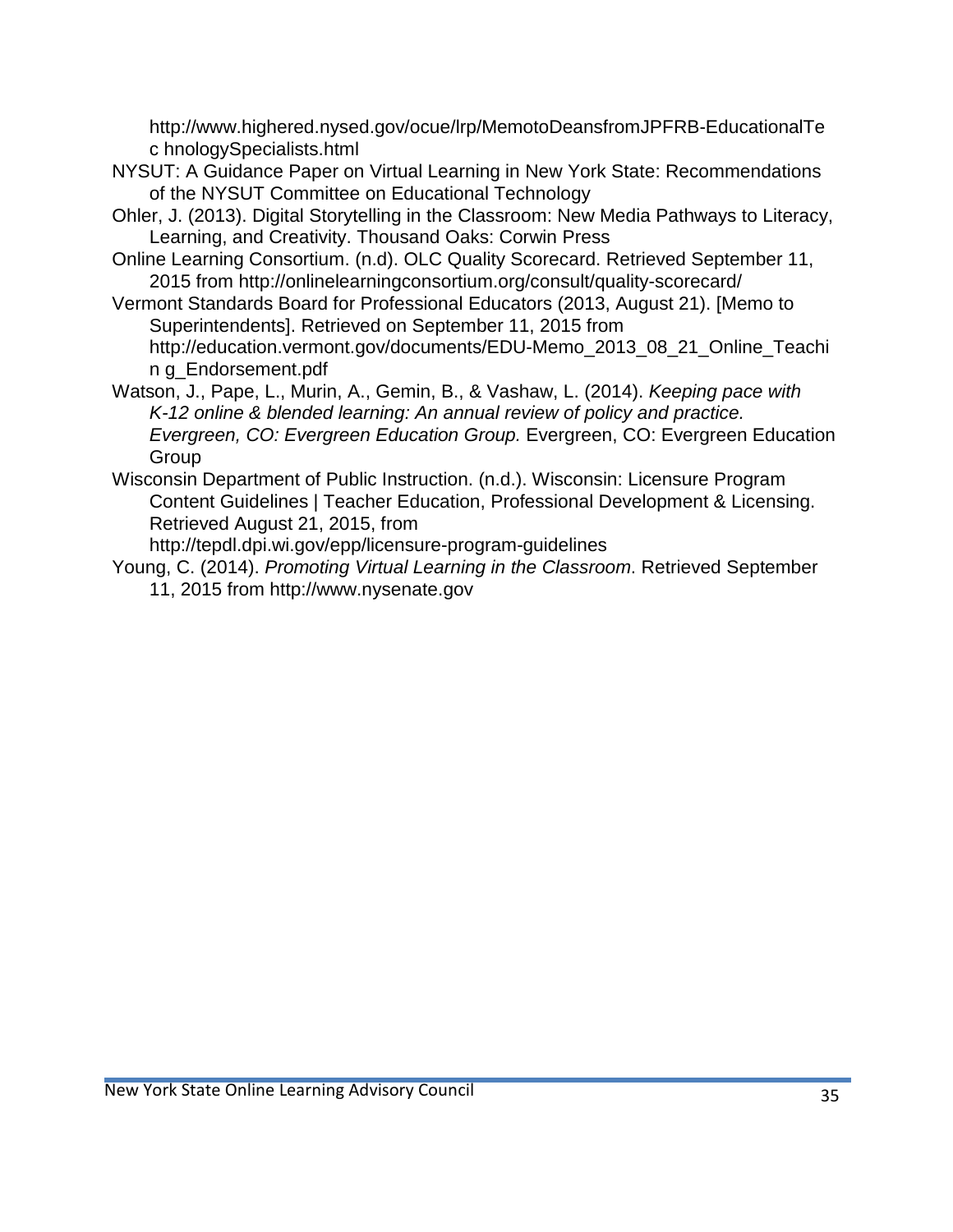[http://www.highered.nysed.gov/ocue/lrp/MemotoDeansfromJPFRB-](http://www.highered.nysed.gov/ocue/lrp/MemotoDeansfromJPFRB)EducationalTe c hnologySpecialists.html

- NYSUT: A Guidance Paper on Virtual Learning in New York State: Recommendations of the NYSUT Committee on Educational Technology
- Ohler, J. (2013). Digital Storytelling in the Classroom: New Media Pathways to Literacy, Learning, and Creativity. Thousand Oaks: Corwin Press
- Online Learning Consortium. (n.d). OLC Quality Scorecard. Retrieved September 11, 2015 from [http://onlinelearningconsortium.org/consult/quality-](http://onlinelearningconsortium.org/consult/quality)scorecard/
- Vermont Standards Board for Professional Educators (2013, August 21). [Memo to Superintendents]. Retrieved on September 11, 2015 fro[m](http://education.vermont.gov/documents/EDU) [http://education.vermont.gov/documents/EDU-](http://education.vermont.gov/documents/EDU)Memo\_2013\_08\_21\_Online\_Teachi n g\_Endorsement.pdf
- Watson, J., Pape, L., Murin, A., Gemin, B., & Vashaw, L. (2014). *Keeping pace with K-12 online & blended learning: An annual review of policy and practice. Evergreen, CO: Evergreen Education Group.* Evergreen, CO: Evergreen Education Group
- Wisconsin Department of Public Instruction. (n.d.). Wisconsin: Licensure Program Content Guidelines | Teacher Education, Professional Development & Licensing. Retrieved August 21, 2015, fro[m](http://tepdl.dpi.wi.gov/epp/licensure)

[http://tepdl.dpi.wi.gov/epp/licensure-](http://tepdl.dpi.wi.gov/epp/licensure)program-guidelines

Young, C. (2014). *Promoting Virtual Learning in the Classroom*. Retrieved September 11, 2015 from [http://www.nysenate.gov](http://www.nysenate.gov/)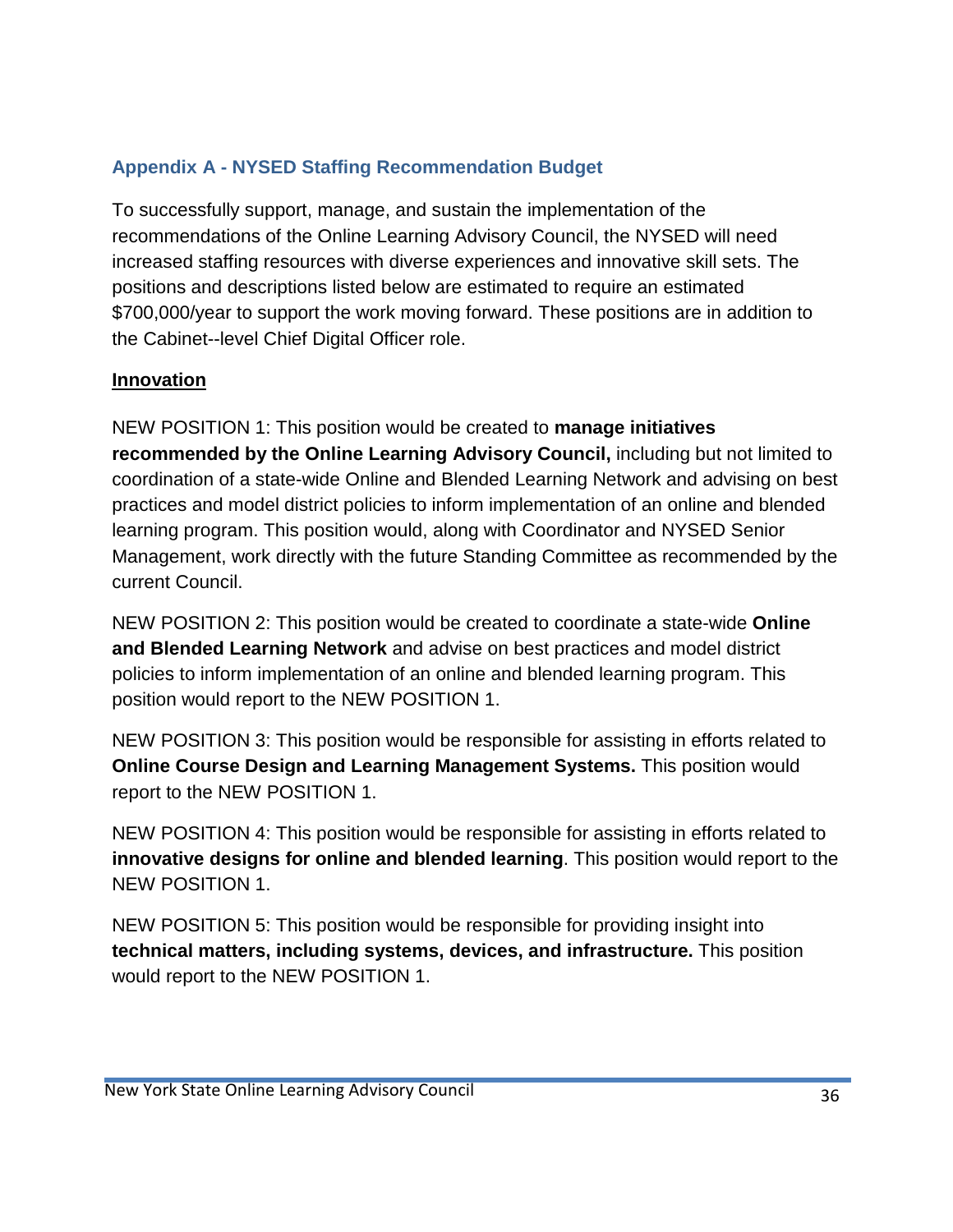# **Appendix A - NYSED Staffing Recommendation Budget**

To successfully support, manage, and sustain the implementation of the recommendations of the Online Learning Advisory Council, the NYSED will need increased staffing resources with diverse experiences and innovative skill sets. The positions and descriptions listed below are estimated to require an estimated \$700,000/year to support the work moving forward. These positions are in addition to the Cabinet--level Chief Digital Officer role.

### **Innovation**

NEW POSITION 1: This position would be created to **manage initiatives recommended by the Online Learning Advisory Council,** including but not limited to coordination of a state-wide Online and Blended Learning Network and advising on best practices and model district policies to inform implementation of an online and blended learning program. This position would, along with Coordinator and NYSED Senior Management, work directly with the future Standing Committee as recommended by the current Council.

NEW POSITION 2: This position would be created to coordinate a state-wide **Online and Blended Learning Network** and advise on best practices and model district policies to inform implementation of an online and blended learning program. This position would report to the NEW POSITION 1.

NEW POSITION 3: This position would be responsible for assisting in efforts related to **Online Course Design and Learning Management Systems.** This position would report to the NEW POSITION 1.

NEW POSITION 4: This position would be responsible for assisting in efforts related to **innovative designs for online and blended learning**. This position would report to the NEW POSITION 1.

NEW POSITION 5: This position would be responsible for providing insight into **technical matters, including systems, devices, and infrastructure.** This position would report to the NEW POSITION 1.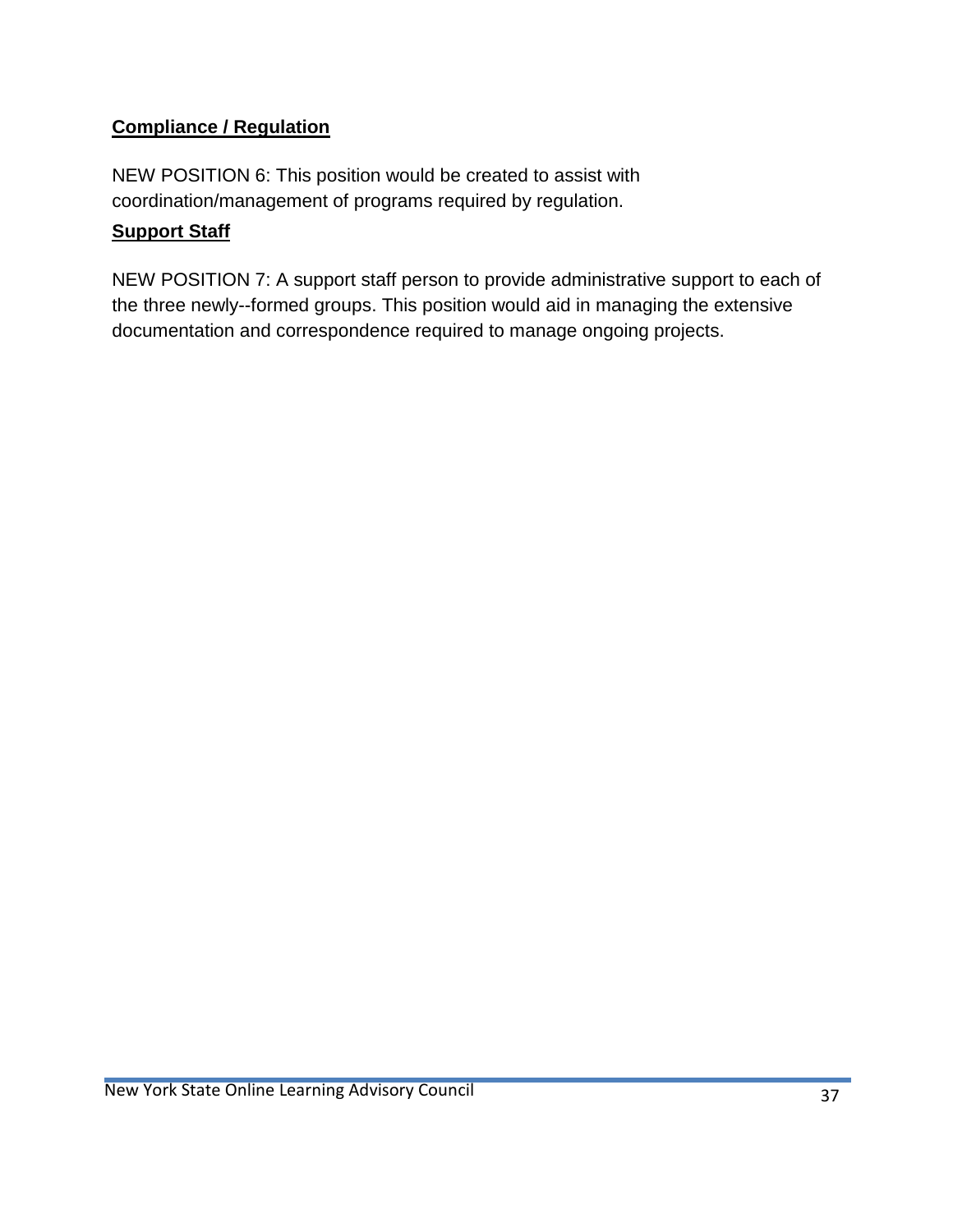# **Compliance / Regulation**

NEW POSITION 6: This position would be created to assist with coordination/management of programs required by regulation.

## **Support Staff**

NEW POSITION 7: A support staff person to provide administrative support to each of the three newly--formed groups. This position would aid in managing the extensive documentation and correspondence required to manage ongoing projects.